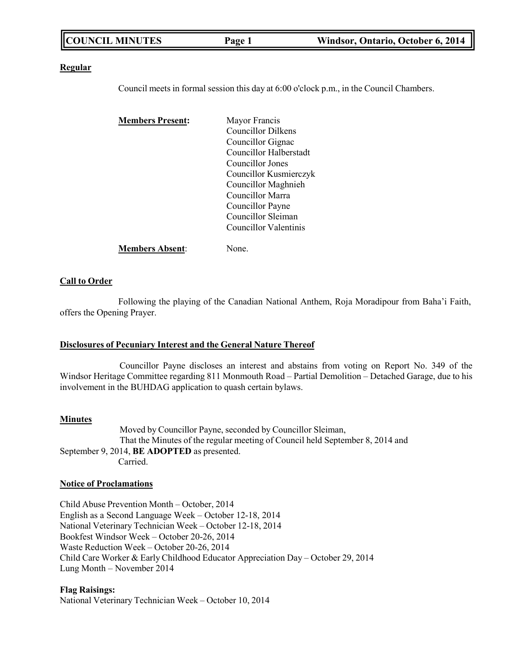#### **Regular**

Council meets in formal session this day at 6:00 o'clock p.m., in the Council Chambers.

| <b>Members Present:</b> | Mayor Francis             |
|-------------------------|---------------------------|
|                         | <b>Councillor Dilkens</b> |
|                         | Councillor Gignac         |
|                         | Councillor Halberstadt    |
|                         | Councillor Jones          |
|                         | Councillor Kusmierczyk    |
|                         | Councillor Maghnieh       |
|                         | Councillor Marra          |
|                         | Councillor Payne          |
|                         | Councillor Sleiman        |
|                         | Councillor Valentinis     |
| <b>Members Absent:</b>  | None.                     |

#### **Call to Order**

Following the playing of the Canadian National Anthem, Roja Moradipour from Baha'i Faith, offers the Opening Prayer.

#### **Disclosures of Pecuniary Interest and the General Nature Thereof**

Councillor Payne discloses an interest and abstains from voting on Report No. 349 of the Windsor Heritage Committee regarding 811 Monmouth Road – Partial Demolition – Detached Garage, due to his involvement in the BUHDAG application to quash certain bylaws.

#### **Minutes**

Moved by Councillor Payne, seconded by Councillor Sleiman, That the Minutes of the regular meeting of Council held September 8, 2014 and September 9, 2014, **BE ADOPTED** as presented. Carried.

#### **Notice of Proclamations**

Child Abuse Prevention Month – October, 2014 English as a Second Language Week – October 12-18, 2014 National Veterinary Technician Week – October 12-18, 2014 Bookfest Windsor Week – October 20-26, 2014 Waste Reduction Week – October 20-26, 2014 Child Care Worker & Early Childhood Educator Appreciation Day – October 29, 2014 Lung Month – November 2014

#### **Flag Raisings:**

National Veterinary Technician Week – October 10, 2014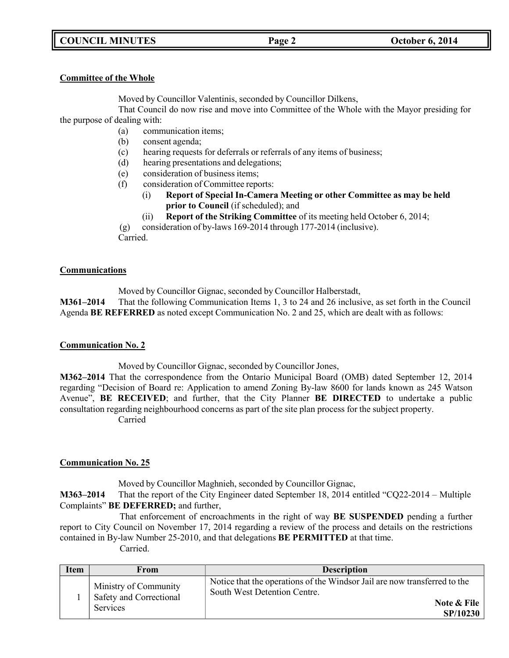# **COUNCIL MINUTES Page 2 October 6, 2014**

### **Committee of the Whole**

Moved by Councillor Valentinis, seconded by Councillor Dilkens,

That Council do now rise and move into Committee of the Whole with the Mayor presiding for the purpose of dealing with:

- (a) communication items;
- (b) consent agenda;
- (c) hearing requests for deferrals or referrals of any items of business;
- (d) hearing presentations and delegations;
- (e) consideration of business items;
- (f) consideration of Committee reports:
	- (i) **Report of Special In-Camera Meeting or other Committee as may be held prior to Council** (if scheduled); and
	- (ii) **Report of the Striking Committee** of its meeting held October 6, 2014;
- (g) consideration of by-laws 169-2014 through 177-2014 (inclusive).

Carried.

## **Communications**

Moved by Councillor Gignac, seconded by Councillor Halberstadt,

**M361–2014** That the following Communication Items 1, 3 to 24 and 26 inclusive, as set forth in the Council Agenda **BE REFERRED** as noted except Communication No. 2 and 25, which are dealt with as follows:

## **Communication No. 2**

Moved by Councillor Gignac, seconded by Councillor Jones,

**M362–2014** That the correspondence from the Ontario Municipal Board (OMB) dated September 12, 2014 regarding "Decision of Board re: Application to amend Zoning By-law 8600 for lands known as 245 Watson Avenue", **BE RECEIVED**; and further, that the City Planner **BE DIRECTED** to undertake a public consultation regarding neighbourhood concerns as part of the site plan process for the subject property. Carried

## **Communication No. 25**

Moved by Councillor Maghnieh, seconded by Councillor Gignac,

**M363–2014** That the report of the City Engineer dated September 18, 2014 entitled "CQ22-2014 – Multiple Complaints" **BE DEFERRED;** and further,

That enforcement of encroachments in the right of way **BE SUSPENDED** pending a further report to City Council on November 17, 2014 regarding a review of the process and details on the restrictions contained in By-law Number 25-2010, and that delegations **BE PERMITTED** at that time.

| <b>Item</b> | From                                                                | <b>Description</b>                                                                                                                   |
|-------------|---------------------------------------------------------------------|--------------------------------------------------------------------------------------------------------------------------------------|
|             | Ministry of Community<br>Safety and Correctional<br><b>Services</b> | Notice that the operations of the Windsor Jail are now transferred to the<br>South West Detention Centre.<br>Note & File<br>SP/10230 |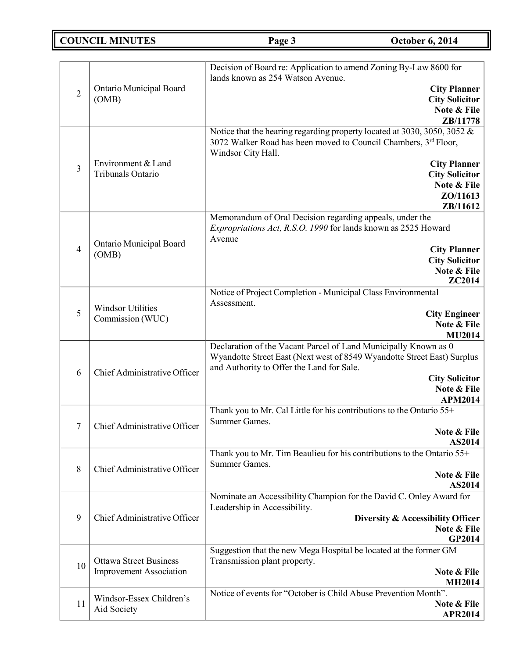# **COUNCIL MINUTES Page 3 October 6, 2014**

|                |                                                                 | Decision of Board re: Application to amend Zoning By-Law 8600 for<br>lands known as 254 Watson Avenue.                                                            |
|----------------|-----------------------------------------------------------------|-------------------------------------------------------------------------------------------------------------------------------------------------------------------|
| $\overline{2}$ | Ontario Municipal Board<br>(OMB)                                | <b>City Planner</b>                                                                                                                                               |
|                |                                                                 | <b>City Solicitor</b><br>Note & File                                                                                                                              |
|                |                                                                 | ZB/11778                                                                                                                                                          |
|                |                                                                 | Notice that the hearing regarding property located at 3030, 3050, 3052 &<br>3072 Walker Road has been moved to Council Chambers, 3rd Floor,<br>Windsor City Hall. |
| $\overline{3}$ | Environment & Land                                              | <b>City Planner</b>                                                                                                                                               |
|                | Tribunals Ontario                                               | <b>City Solicitor</b>                                                                                                                                             |
|                |                                                                 | Note & File<br>ZO/11613                                                                                                                                           |
|                |                                                                 | ZB/11612                                                                                                                                                          |
|                |                                                                 | Memorandum of Oral Decision regarding appeals, under the                                                                                                          |
|                |                                                                 | Expropriations Act, R.S.O. 1990 for lands known as 2525 Howard                                                                                                    |
| $\overline{4}$ | Ontario Municipal Board                                         | Avenue                                                                                                                                                            |
|                | (OMB)                                                           | <b>City Planner</b><br><b>City Solicitor</b>                                                                                                                      |
|                |                                                                 | Note & File                                                                                                                                                       |
|                |                                                                 | ZC2014                                                                                                                                                            |
|                |                                                                 | Notice of Project Completion - Municipal Class Environmental                                                                                                      |
| 5              | <b>Windsor Utilities</b>                                        | Assessment.<br><b>City Engineer</b>                                                                                                                               |
|                | Commission (WUC)                                                | Note & File                                                                                                                                                       |
|                |                                                                 | <b>MU2014</b>                                                                                                                                                     |
|                | Chief Administrative Officer                                    | Declaration of the Vacant Parcel of Land Municipally Known as 0                                                                                                   |
| 6              |                                                                 | Wyandotte Street East (Next west of 8549 Wyandotte Street East) Surplus<br>and Authority to Offer the Land for Sale.                                              |
|                |                                                                 | <b>City Solicitor</b>                                                                                                                                             |
|                |                                                                 | Note & File<br><b>APM2014</b>                                                                                                                                     |
|                |                                                                 | Thank you to Mr. Cal Little for his contributions to the Ontario 55+                                                                                              |
| 7              | Chief Administrative Officer                                    | Summer Games.                                                                                                                                                     |
|                |                                                                 | Note & File                                                                                                                                                       |
|                |                                                                 | AS2014<br>Thank you to Mr. Tim Beaulieu for his contributions to the Ontario 55+                                                                                  |
|                |                                                                 | Summer Games.                                                                                                                                                     |
| 8              | Chief Administrative Officer                                    | Note & File                                                                                                                                                       |
|                |                                                                 | AS2014                                                                                                                                                            |
|                |                                                                 | Nominate an Accessibility Champion for the David C. Onley Award for<br>Leadership in Accessibility.                                                               |
| 9              | Chief Administrative Officer                                    | Diversity & Accessibility Officer                                                                                                                                 |
|                |                                                                 | Note & File                                                                                                                                                       |
|                |                                                                 | <b>GP2014</b>                                                                                                                                                     |
|                |                                                                 | Suggestion that the new Mega Hospital be located at the former GM                                                                                                 |
| 10             | <b>Ottawa Street Business</b><br><b>Improvement Association</b> | Transmission plant property.<br>Note & File                                                                                                                       |
|                |                                                                 | <b>MH2014</b>                                                                                                                                                     |
|                | Windsor-Essex Children's                                        | Notice of events for "October is Child Abuse Prevention Month".                                                                                                   |
| 11             | Aid Society                                                     | Note & File                                                                                                                                                       |
|                |                                                                 | <b>APR2014</b>                                                                                                                                                    |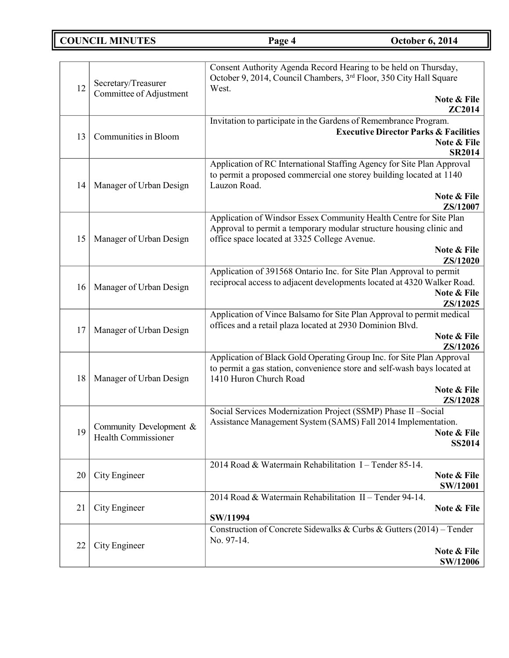# **COUNCIL MINUTES Page 4 October 6, 2014**

| 12 | Secretary/Treasurer                            | Consent Authority Agenda Record Hearing to be held on Thursday,<br>October 9, 2014, Council Chambers, 3rd Floor, 350 City Hall Square<br>West.                                                                       |
|----|------------------------------------------------|----------------------------------------------------------------------------------------------------------------------------------------------------------------------------------------------------------------------|
|    | Committee of Adjustment                        | Note & File<br>ZC2014                                                                                                                                                                                                |
| 13 | Communities in Bloom                           | Invitation to participate in the Gardens of Remembrance Program.<br><b>Executive Director Parks &amp; Facilities</b><br>Note & File<br><b>SR2014</b>                                                                 |
| 14 | Manager of Urban Design                        | Application of RC International Staffing Agency for Site Plan Approval<br>to permit a proposed commercial one storey building located at 1140<br>Lauzon Road.<br>Note & File<br>ZS/12007                             |
| 15 | Manager of Urban Design                        | Application of Windsor Essex Community Health Centre for Site Plan<br>Approval to permit a temporary modular structure housing clinic and<br>office space located at 3325 College Avenue.<br>Note & File<br>ZS/12020 |
| 16 | Manager of Urban Design                        | Application of 391568 Ontario Inc. for Site Plan Approval to permit<br>reciprocal access to adjacent developments located at 4320 Walker Road.<br>Note & File<br>ZS/12025                                            |
| 17 | Manager of Urban Design                        | Application of Vince Balsamo for Site Plan Approval to permit medical<br>offices and a retail plaza located at 2930 Dominion Blvd.<br>Note & File<br>ZS/12026                                                        |
| 18 | Manager of Urban Design                        | Application of Black Gold Operating Group Inc. for Site Plan Approval<br>to permit a gas station, convenience store and self-wash bays located at<br>1410 Huron Church Road<br>Note & File                           |
|    |                                                | ZS/12028                                                                                                                                                                                                             |
| 19 | Community Development &<br>Health Commissioner | Social Services Modernization Project (SSMP) Phase II -Social<br>Assistance Management System (SAMS) Fall 2014 Implementation.<br>Note & File<br><b>SS2014</b>                                                       |
| 20 | City Engineer                                  | 2014 Road & Watermain Rehabilitation I - Tender 85-14.<br>Note & File<br><b>SW/12001</b>                                                                                                                             |
| 21 | City Engineer                                  | 2014 Road & Watermain Rehabilitation II - Tender 94-14.<br>Note & File<br>SW/11994                                                                                                                                   |
| 22 | City Engineer                                  | Construction of Concrete Sidewalks & Curbs & Gutters (2014) - Tender<br>No. 97-14.<br>Note & File<br><b>SW/12006</b>                                                                                                 |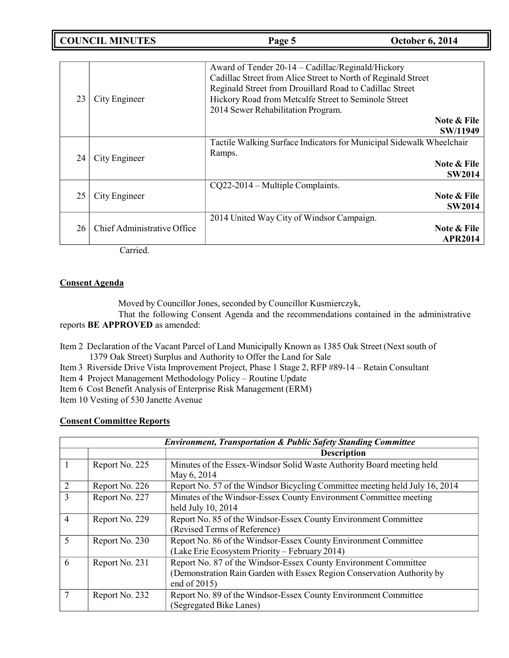**COUNCIL MINUTES Page 5 October 6, 2014**

| 23 | City Engineer               | Award of Tender 20-14 – Cadillac/Reginald/Hickory<br>Cadillac Street from Alice Street to North of Reginald Street<br>Reginald Street from Drouillard Road to Cadillac Street<br>Hickory Road from Metcalfe Street to Seminole Street<br>2014 Sewer Rehabilitation Program. | Note & File<br>SW/11949       |
|----|-----------------------------|-----------------------------------------------------------------------------------------------------------------------------------------------------------------------------------------------------------------------------------------------------------------------------|-------------------------------|
| 24 | City Engineer               | Tactile Walking Surface Indicators for Municipal Sidewalk Wheelchair<br>Ramps.                                                                                                                                                                                              | Note & File<br><b>SW2014</b>  |
| 25 | City Engineer               | $CQ22-2014$ – Multiple Complaints.                                                                                                                                                                                                                                          | Note & File<br><b>SW2014</b>  |
| 26 | Chief Administrative Office | 2014 United Way City of Windsor Campaign.                                                                                                                                                                                                                                   | Note & File<br><b>APR2014</b> |

Carried.

### **Consent Agenda**

Moved by Councillor Jones, seconded by Councillor Kusmierczyk,

That the following Consent Agenda and the recommendations contained in the administrative reports **BE APPROVED** as amended:

Item 2 Declaration of the Vacant Parcel of Land Municipally Known as 1385 Oak Street (Next south of 1379 Oak Street) Surplus and Authority to Offer the Land for Sale

- Item 3 Riverside Drive Vista Improvement Project, Phase 1 Stage 2, RFP #89-14 Retain Consultant
- Item 4 Project Management Methodology Policy Routine Update
- Item 6 Cost Benefit Analysis of Enterprise Risk Management (ERM)

Item 10 Vesting of 530 Janette Avenue

#### **Consent Committee Reports**

|                | <b>Environment, Transportation &amp; Public Safety Standing Committee</b> |                                                                                                                                                           |  |
|----------------|---------------------------------------------------------------------------|-----------------------------------------------------------------------------------------------------------------------------------------------------------|--|
|                |                                                                           | <b>Description</b>                                                                                                                                        |  |
|                | Report No. 225                                                            | Minutes of the Essex-Windsor Solid Waste Authority Board meeting held<br>May 6, 2014                                                                      |  |
| 2              | Report No. 226                                                            | Report No. 57 of the Windsor Bicycling Committee meeting held July 16, 2014                                                                               |  |
| $\overline{3}$ | Report No. 227                                                            | Minutes of the Windsor-Essex County Environment Committee meeting<br>held July 10, 2014                                                                   |  |
| $\overline{4}$ | Report No. 229                                                            | Report No. 85 of the Windsor-Essex County Environment Committee<br>(Revised Terms of Reference)                                                           |  |
| 5              | Report No. 230                                                            | Report No. 86 of the Windsor-Essex County Environment Committee<br>(Lake Erie Ecosystem Priority – February 2014)                                         |  |
| 6              | Report No. 231                                                            | Report No. 87 of the Windsor-Essex County Environment Committee<br>(Demonstration Rain Garden with Essex Region Conservation Authority by<br>end of 2015) |  |
| 7              | Report No. 232                                                            | Report No. 89 of the Windsor-Essex County Environment Committee<br>(Segregated Bike Lanes)                                                                |  |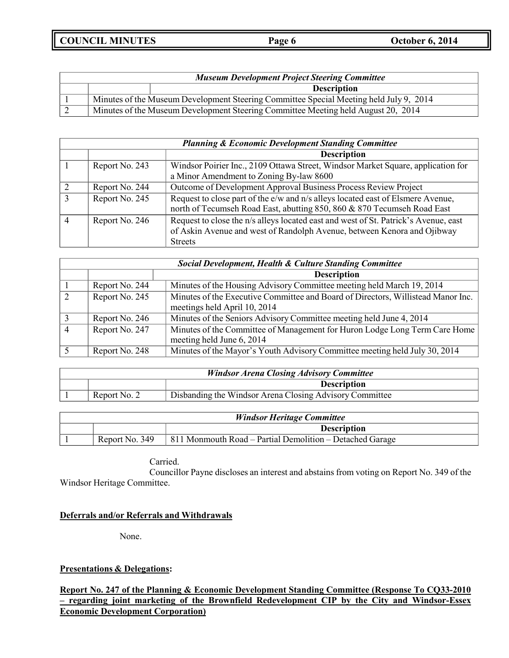**COUNCIL MINUTES Page 6 October 6, 2014**

|  | <b>Museum Development Project Steering Committee</b>                                   |
|--|----------------------------------------------------------------------------------------|
|  | <b>Description</b>                                                                     |
|  | Minutes of the Museum Development Steering Committee Special Meeting held July 9, 2014 |
|  | Minutes of the Museum Development Steering Committee Meeting held August 20, 2014      |

| <b>Planning &amp; Economic Development Standing Committee</b> |                                                                                     |  |
|---------------------------------------------------------------|-------------------------------------------------------------------------------------|--|
|                                                               | <b>Description</b>                                                                  |  |
| Report No. 243                                                | Windsor Poirier Inc., 2109 Ottawa Street, Windsor Market Square, application for    |  |
|                                                               | a Minor Amendment to Zoning By-law 8600                                             |  |
| Report No. 244                                                | Outcome of Development Approval Business Process Review Project                     |  |
| Report No. 245                                                | Request to close part of the e/w and n/s alleys located east of Elsmere Avenue,     |  |
|                                                               | north of Tecumseh Road East, abutting 850, 860 & 870 Tecumseh Road East             |  |
| Report No. 246                                                | Request to close the n/s alleys located east and west of St. Patrick's Avenue, east |  |
|                                                               | of Askin Avenue and west of Randolph Avenue, between Kenora and Ojibway             |  |
|                                                               | <b>Streets</b>                                                                      |  |

| <b>Social Development, Health &amp; Culture Standing Committee</b> |                                                                                                                  |  |
|--------------------------------------------------------------------|------------------------------------------------------------------------------------------------------------------|--|
|                                                                    | <b>Description</b>                                                                                               |  |
| Report No. 244                                                     | Minutes of the Housing Advisory Committee meeting held March 19, 2014                                            |  |
| Report No. 245                                                     | Minutes of the Executive Committee and Board of Directors, Willistead Manor Inc.<br>meetings held April 10, 2014 |  |
| Report No. 246                                                     | Minutes of the Seniors Advisory Committee meeting held June 4, 2014                                              |  |
| Report No. 247                                                     | Minutes of the Committee of Management for Huron Lodge Long Term Care Home<br>meeting held June 6, 2014          |  |
| Report No. 248                                                     | Minutes of the Mayor's Youth Advisory Committee meeting held July 30, 2014                                       |  |

| <b>Windsor Arena Closing Advisory Committee</b> |                                                         |  |
|-------------------------------------------------|---------------------------------------------------------|--|
|                                                 | <b>Description</b>                                      |  |
| Report No. 2                                    | Disbanding the Windsor Arena Closing Advisory Committee |  |

| <b>Windsor Heritage Committee</b> |                |                                                            |
|-----------------------------------|----------------|------------------------------------------------------------|
|                                   |                | <b>Description</b>                                         |
|                                   | Report No. 349 | $811$ Monmouth Road – Partial Demolition – Detached Garage |

Carried. Councillor Payne discloses an interest and abstains from voting on Report No. 349 of the Windsor Heritage Committee.

## **Deferrals and/or Referrals and Withdrawals**

None.

## **Presentations & Delegations:**

**Report No. 247 of the Planning & Economic Development Standing Committee (Response To CQ33-2010 – regarding joint marketing of the Brownfield Redevelopment CIP by the City and Windsor-Essex Economic Development Corporation)**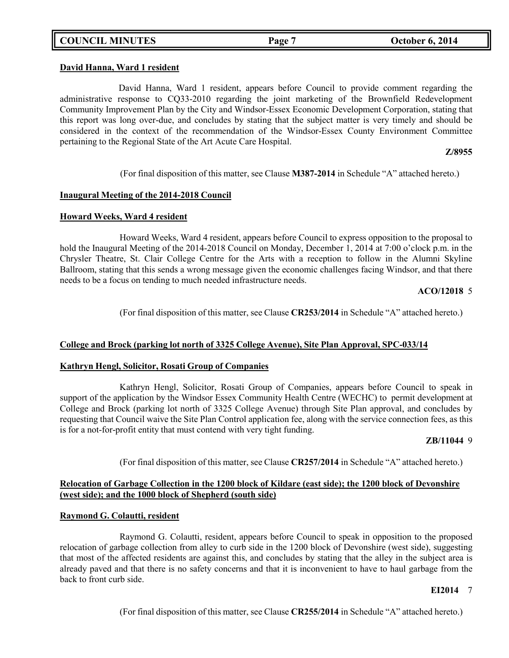## **COUNCIL MINUTES Page 7 October 6, 2014**

#### **David Hanna, Ward 1 resident**

David Hanna, Ward 1 resident, appears before Council to provide comment regarding the administrative response to CQ33-2010 regarding the joint marketing of the Brownfield Redevelopment Community Improvement Plan by the City and Windsor-Essex Economic Development Corporation, stating that this report was long over-due, and concludes by stating that the subject matter is very timely and should be considered in the context of the recommendation of the Windsor-Essex County Environment Committee pertaining to the Regional State of the Art Acute Care Hospital.

**Z/8955**

(For final disposition of this matter, see Clause **M387-2014** in Schedule "A" attached hereto.)

#### **Inaugural Meeting of the 2014-2018 Council**

#### **Howard Weeks, Ward 4 resident**

Howard Weeks, Ward 4 resident, appears before Council to express opposition to the proposal to hold the Inaugural Meeting of the 2014-2018 Council on Monday, December 1, 2014 at 7:00 o'clock p.m. in the Chrysler Theatre, St. Clair College Centre for the Arts with a reception to follow in the Alumni Skyline Ballroom, stating that this sends a wrong message given the economic challenges facing Windsor, and that there needs to be a focus on tending to much needed infrastructure needs.

#### **ACO/12018** 5

(For final disposition of this matter, see Clause **CR253/2014** in Schedule "A" attached hereto.)

### **College and Brock (parking lot north of 3325 College Avenue), Site Plan Approval, SPC-033/14**

### **Kathryn Hengl, Solicitor, Rosati Group of Companies**

Kathryn Hengl, Solicitor, Rosati Group of Companies, appears before Council to speak in support of the application by the Windsor Essex Community Health Centre (WECHC) to permit development at College and Brock (parking lot north of 3325 College Avenue) through Site Plan approval, and concludes by requesting that Council waive the Site Plan Control application fee, along with the service connection fees, as this is for a not-for-profit entity that must contend with very tight funding.

#### **ZB/11044** 9

(For final disposition of this matter, see Clause **CR257/2014** in Schedule "A" attached hereto.)

## **Relocation of Garbage Collection in the 1200 block of Kildare (east side); the 1200 block of Devonshire (west side); and the 1000 block of Shepherd (south side)**

#### **Raymond G. Colautti, resident**

Raymond G. Colautti, resident, appears before Council to speak in opposition to the proposed relocation of garbage collection from alley to curb side in the 1200 block of Devonshire (west side), suggesting that most of the affected residents are against this, and concludes by stating that the alley in the subject area is already paved and that there is no safety concerns and that it is inconvenient to have to haul garbage from the back to front curb side.

#### **EI2014** 7

(For final disposition of this matter, see Clause **CR255/2014** in Schedule "A" attached hereto.)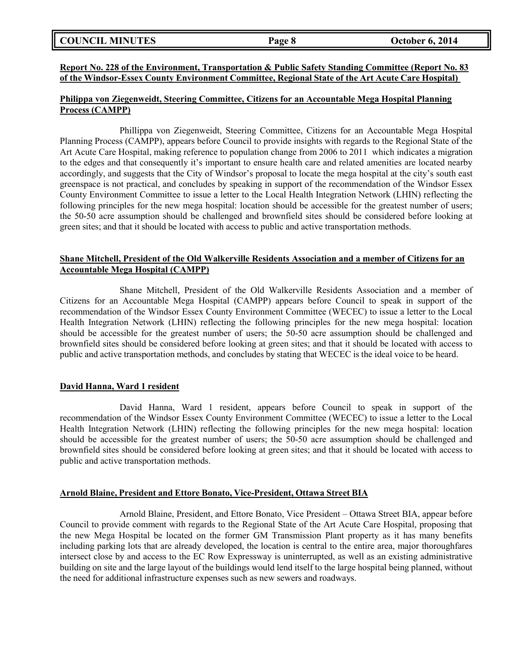|  | <b>COUNCIL MINUTES</b> |
|--|------------------------|
|--|------------------------|

#### **Report No. 228 of the Environment, Transportation & Public Safety Standing Committee (Report No. 83 of the Windsor-Essex County Environment Committee, Regional State of the Art Acute Care Hospital)**

#### **Philippa von Ziegenweidt, Steering Committee, Citizens for an Accountable Mega Hospital Planning Process (CAMPP)**

Phillippa von Ziegenweidt, Steering Committee, Citizens for an Accountable Mega Hospital Planning Process (CAMPP), appears before Council to provide insights with regards to the Regional State of the Art Acute Care Hospital, making reference to population change from 2006 to 2011 which indicates a migration to the edges and that consequently it's important to ensure health care and related amenities are located nearby accordingly, and suggests that the City of Windsor's proposal to locate the mega hospital at the city's south east greenspace is not practical, and concludes by speaking in support of the recommendation of the Windsor Essex County Environment Committee to issue a letter to the Local Health Integration Network (LHIN) reflecting the following principles for the new mega hospital: location should be accessible for the greatest number of users; the 50-50 acre assumption should be challenged and brownfield sites should be considered before looking at green sites; and that it should be located with access to public and active transportation methods.

### **Shane Mitchell, President of the Old Walkerville Residents Association and a member of Citizens for an Accountable Mega Hospital (CAMPP)**

Shane Mitchell, President of the Old Walkerville Residents Association and a member of Citizens for an Accountable Mega Hospital (CAMPP) appears before Council to speak in support of the recommendation of the Windsor Essex County Environment Committee (WECEC) to issue a letter to the Local Health Integration Network (LHIN) reflecting the following principles for the new mega hospital: location should be accessible for the greatest number of users; the 50-50 acre assumption should be challenged and brownfield sites should be considered before looking at green sites; and that it should be located with access to public and active transportation methods, and concludes by stating that WECEC is the ideal voice to be heard.

### **David Hanna, Ward 1 resident**

David Hanna, Ward 1 resident, appears before Council to speak in support of the recommendation of the Windsor Essex County Environment Committee (WECEC) to issue a letter to the Local Health Integration Network (LHIN) reflecting the following principles for the new mega hospital: location should be accessible for the greatest number of users; the 50-50 acre assumption should be challenged and brownfield sites should be considered before looking at green sites; and that it should be located with access to public and active transportation methods.

#### **Arnold Blaine, President and Ettore Bonato, Vice-President, Ottawa Street BIA**

Arnold Blaine, President, and Ettore Bonato, Vice President – Ottawa Street BIA, appear before Council to provide comment with regards to the Regional State of the Art Acute Care Hospital, proposing that the new Mega Hospital be located on the former GM Transmission Plant property as it has many benefits including parking lots that are already developed, the location is central to the entire area, major thoroughfares intersect close by and access to the EC Row Expressway is uninterrupted, as well as an existing administrative building on site and the large layout of the buildings would lend itself to the large hospital being planned, without the need for additional infrastructure expenses such as new sewers and roadways.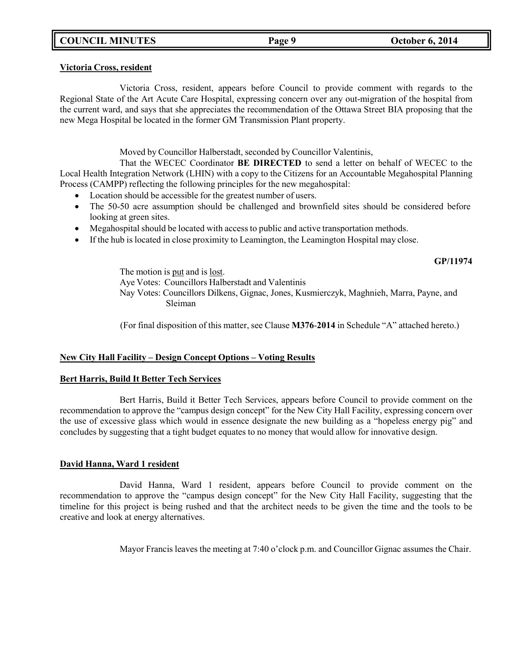# **COUNCIL MINUTES Page 9 October 6, 2014**

#### **Victoria Cross, resident**

Victoria Cross, resident, appears before Council to provide comment with regards to the Regional State of the Art Acute Care Hospital, expressing concern over any out-migration of the hospital from the current ward, and says that she appreciates the recommendation of the Ottawa Street BIA proposing that the new Mega Hospital be located in the former GM Transmission Plant property.

### Moved by Councillor Halberstadt, seconded by Councillor Valentinis,

That the WECEC Coordinator **BE DIRECTED** to send a letter on behalf of WECEC to the Local Health Integration Network (LHIN) with a copy to the Citizens for an Accountable Megahospital Planning Process (CAMPP) reflecting the following principles for the new megahospital:

- Location should be accessible for the greatest number of users.
- The 50-50 acre assumption should be challenged and brownfield sites should be considered before looking at green sites.
- Megahospital should be located with access to public and active transportation methods.
- If the hub is located in close proximity to Leamington, the Leamington Hospital may close.

#### **GP/11974**

The motion is put and is lost. Aye Votes: Councillors Halberstadt and Valentinis Nay Votes: Councillors Dilkens, Gignac, Jones, Kusmierczyk, Maghnieh, Marra, Payne, and Sleiman

(For final disposition of this matter, see Clause **M376**-**2014** in Schedule "A" attached hereto.)

### **New City Hall Facility – Design Concept Options – Voting Results**

### **Bert Harris, Build It Better Tech Services**

Bert Harris, Build it Better Tech Services, appears before Council to provide comment on the recommendation to approve the "campus design concept" for the New City Hall Facility, expressing concern over the use of excessive glass which would in essence designate the new building as a "hopeless energy pig" and concludes by suggesting that a tight budget equates to no money that would allow for innovative design.

### **David Hanna, Ward 1 resident**

David Hanna, Ward 1 resident, appears before Council to provide comment on the recommendation to approve the "campus design concept" for the New City Hall Facility, suggesting that the timeline for this project is being rushed and that the architect needs to be given the time and the tools to be creative and look at energy alternatives.

Mayor Francis leaves the meeting at 7:40 o'clock p.m. and Councillor Gignac assumes the Chair.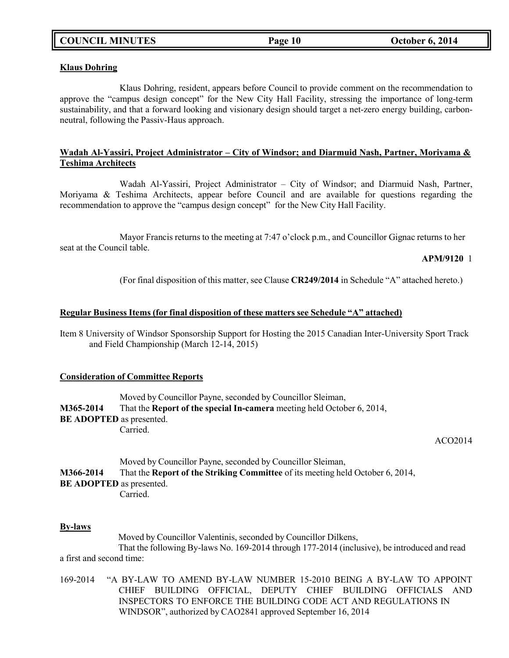#### **Klaus Dohring**

Klaus Dohring, resident, appears before Council to provide comment on the recommendation to approve the "campus design concept" for the New City Hall Facility, stressing the importance of long-term sustainability, and that a forward looking and visionary design should target a net-zero energy building, carbonneutral, following the Passiv-Haus approach.

### **Wadah Al-Yassiri, Project Administrator – City of Windsor; and Diarmuid Nash, Partner, Moriyama & Teshima Architects**

Wadah Al-Yassiri, Project Administrator – City of Windsor; and Diarmuid Nash, Partner, Moriyama & Teshima Architects, appear before Council and are available for questions regarding the recommendation to approve the "campus design concept" for the New City Hall Facility.

Mayor Francis returns to the meeting at 7:47 o'clock p.m., and Councillor Gignac returns to her seat at the Council table.

**APM/9120** 1

(For final disposition of this matter, see Clause **CR249/2014** in Schedule "A" attached hereto.)

### **Regular Business Items (for final disposition of these matters see Schedule "A" attached)**

Item 8 University of Windsor Sponsorship Support for Hosting the 2015 Canadian Inter-University Sport Track and Field Championship (March 12-14, 2015)

#### **Consideration of Committee Reports**

Moved by Councillor Payne, seconded by Councillor Sleiman, **M365-2014** That the **Report of the special In-camera** meeting held October 6, 2014, **BE ADOPTED** as presented. Carried.

#### ACO2014

Moved by Councillor Payne, seconded by Councillor Sleiman, **M366-2014** That the **Report of the Striking Committee** of its meeting held October 6, 2014, **BE ADOPTED** as presented. Carried.

#### **By-laws**

Moved by Councillor Valentinis, seconded by Councillor Dilkens, That the following By-laws No. 169-2014 through 177-2014 (inclusive), be introduced and read a first and second time:

169-2014 "A BY-LAW TO AMEND BY-LAW NUMBER 15-2010 BEING A BY-LAW TO APPOINT CHIEF BUILDING OFFICIAL, DEPUTY CHIEF BUILDING OFFICIALS AND INSPECTORS TO ENFORCE THE BUILDING CODE ACT AND REGULATIONS IN WINDSOR", authorized by CAO2841 approved September 16, 2014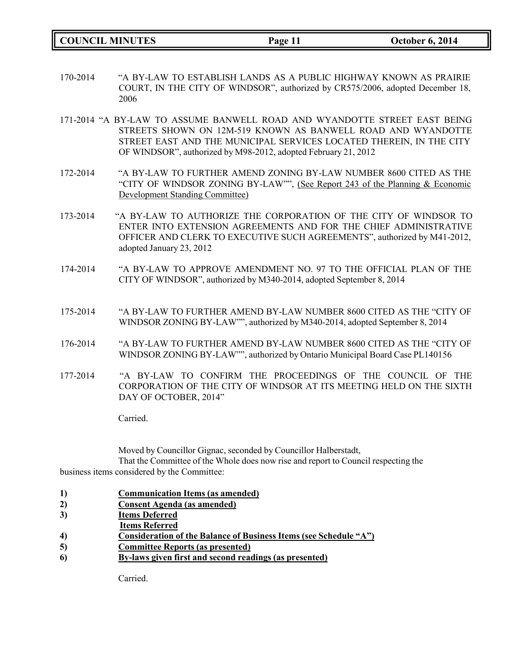**COUNCIL MINUTES Page 11 October 6, 2014**

- 170-2014 "A BY-LAW TO ESTABLISH LANDS AS A PUBLIC HIGHWAY KNOWN AS PRAIRIE COURT, IN THE CITY OF WINDSOR", authorized by CR575/2006, adopted December 18, 2006
- 171-2014 "A BY-LAW TO ASSUME BANWELL ROAD AND WYANDOTTE STREET EAST BEING STREETS SHOWN ON 12M-519 KNOWN AS BANWELL ROAD AND WYANDOTTE STREET EAST AND THE MUNICIPAL SERVICES LOCATED THEREIN, IN THE CITY OF WINDSOR", authorized by M98-2012, adopted February 21, 2012
- 172-2014 "A BY-LAW TO FURTHER AMEND ZONING BY-LAW NUMBER 8600 CITED AS THE "CITY OF WINDSOR ZONING BY-LAW"", (See Report 243 of the Planning & Economic Development Standing Committee)
- 173-2014 "A BY-LAW TO AUTHORIZE THE CORPORATION OF THE CITY OF WINDSOR TO ENTER INTO EXTENSION AGREEMENTS AND FOR THE CHIEF ADMINISTRATIVE OFFICER AND CLERK TO EXECUTIVE SUCH AGREEMENTS", authorized by M41-2012, adopted January 23, 2012
- 174-2014 "A BY-LAW TO APPROVE AMENDMENT NO. 97 TO THE OFFICIAL PLAN OF THE CITY OF WINDSOR", authorized by M340-2014, adopted September 8, 2014
- 175-2014 "A BY-LAW TO FURTHER AMEND BY-LAW NUMBER 8600 CITED AS THE "CITY OF WINDSOR ZONING BY-LAW"", authorized by M340-2014, adopted September 8, 2014
- 176-2014 "A BY-LAW TO FURTHER AMEND BY-LAW NUMBER 8600 CITED AS THE "CITY OF WINDSOR ZONING BY-LAW"", authorized by Ontario Municipal Board Case PL140156
- 177-2014 "A BY-LAW TO CONFIRM THE PROCEEDINGS OF THE COUNCIL OF THE CORPORATION OF THE CITY OF WINDSOR AT ITS MEETING HELD ON THE SIXTH DAY OF OCTOBER, 2014"

Carried.

Moved by Councillor Gignac, seconded by Councillor Halberstadt, That the Committee of the Whole does now rise and report to Council respecting the business items considered by the Committee:

- **1) Communication Items (as amended)**
- **2) Consent Agenda (as amended)**
- **3) Items Deferred**
- **Items Referred**
- **4) Consideration of the Balance of Business Items (see Schedule "A")**
- **5) Committee Reports (as presented)**
- **6) By-laws given first and second readings (as presented)**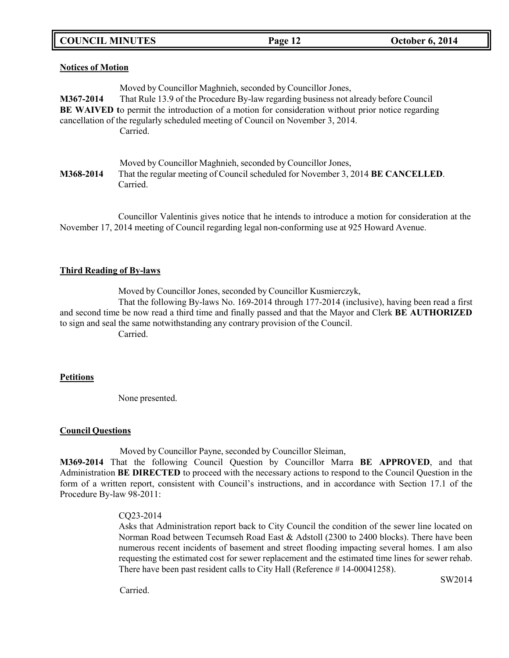**COUNCIL MINUTES Page 12 October 6, 2014**

#### **Notices of Motion**

|           | Moved by Councillor Maghnieh, seconded by Councillor Jones,                                              |
|-----------|----------------------------------------------------------------------------------------------------------|
| M367-2014 | That Rule 13.9 of the Procedure By-law regarding business not already before Council                     |
|           | <b>BE WAIVED</b> to permit the introduction of a motion for consideration without prior notice regarding |
|           | cancellation of the regularly scheduled meeting of Council on November 3, 2014.                          |
|           | Carried.                                                                                                 |
|           |                                                                                                          |
|           |                                                                                                          |
|           | Moved by Councillor Maghnieh, seconded by Councillor Jones,                                              |
| M368-2014 | That the regular meeting of Council scheduled for November 3, 2014 <b>BE CANCELLED</b> .                 |
|           | Carried.                                                                                                 |

Councillor Valentinis gives notice that he intends to introduce a motion for consideration at the November 17, 2014 meeting of Council regarding legal non-conforming use at 925 Howard Avenue.

#### **Third Reading of By-laws**

Moved by Councillor Jones, seconded by Councillor Kusmierczyk,

That the following By-laws No. 169-2014 through 177-2014 (inclusive), having been read a first and second time be now read a third time and finally passed and that the Mayor and Clerk **BE AUTHORIZED** to sign and seal the same notwithstanding any contrary provision of the Council.

Carried.

### **Petitions**

None presented.

#### **Council Questions**

Moved by Councillor Payne, seconded by Councillor Sleiman,

**M369-2014** That the following Council Question by Councillor Marra **BE APPROVED**, and that Administration **BE DIRECTED** to proceed with the necessary actions to respond to the Council Question in the form of a written report, consistent with Council's instructions, and in accordance with Section 17.1 of the Procedure By-law 98-2011:

#### CQ23-2014

Asks that Administration report back to City Council the condition of the sewer line located on Norman Road between Tecumseh Road East & Adstoll (2300 to 2400 blocks). There have been numerous recent incidents of basement and street flooding impacting several homes. I am also requesting the estimated cost for sewer replacement and the estimated time lines for sewer rehab. There have been past resident calls to City Hall (Reference # 14-00041258).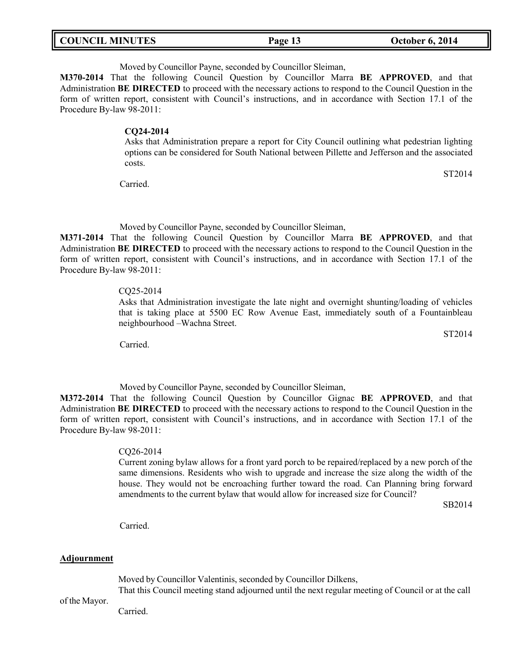| <b>COUNCIL MINUTES</b> | Page 13 | <b>October 6, 2014</b> |
|------------------------|---------|------------------------|
|                        |         |                        |

Moved by Councillor Payne, seconded by Councillor Sleiman,

**M370-2014** That the following Council Question by Councillor Marra **BE APPROVED**, and that Administration **BE DIRECTED** to proceed with the necessary actions to respond to the Council Question in the form of written report, consistent with Council's instructions, and in accordance with Section 17.1 of the Procedure By-law 98-2011:

#### **CQ24-2014**

Asks that Administration prepare a report for City Council outlining what pedestrian lighting options can be considered for South National between Pillette and Jefferson and the associated costs.

Carried.

Moved by Councillor Payne, seconded by Councillor Sleiman,

**M371-2014** That the following Council Question by Councillor Marra **BE APPROVED**, and that Administration **BE DIRECTED** to proceed with the necessary actions to respond to the Council Question in the form of written report, consistent with Council's instructions, and in accordance with Section 17.1 of the Procedure By-law 98-2011:

#### CQ25-2014

Asks that Administration investigate the late night and overnight shunting/loading of vehicles that is taking place at 5500 EC Row Avenue East, immediately south of a Fountainbleau neighbourhood –Wachna Street.

Carried.

Moved by Councillor Payne, seconded by Councillor Sleiman,

**M372-2014** That the following Council Question by Councillor Gignac **BE APPROVED**, and that Administration **BE DIRECTED** to proceed with the necessary actions to respond to the Council Question in the form of written report, consistent with Council's instructions, and in accordance with Section 17.1 of the Procedure By-law 98-2011:

#### CQ26-2014

Current zoning bylaw allows for a front yard porch to be repaired/replaced by a new porch of the same dimensions. Residents who wish to upgrade and increase the size along the width of the house. They would not be encroaching further toward the road. Can Planning bring forward amendments to the current bylaw that would allow for increased size for Council?

SB2014

ST2014

ST2014

Carried.

#### **Adjournment**

Moved by Councillor Valentinis, seconded by Councillor Dilkens,

That this Council meeting stand adjourned until the next regular meeting of Council or at the call

of the Mayor.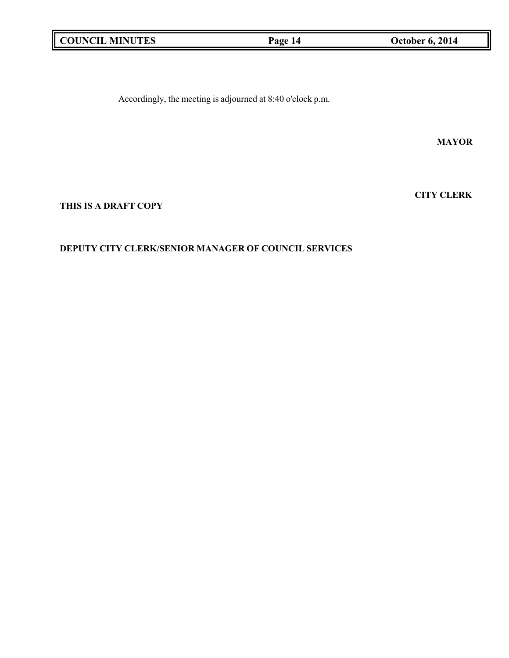|  | <b>COUNCIL MINUTES</b> |
|--|------------------------|
|--|------------------------|

**COUNCIL MINUTES Page 14 October 6, 2014**

Accordingly, the meeting is adjourned at 8:40 o'clock p.m.

**MAYOR**

**CITY CLERK**

# **THIS IS A DRAFT COPY**

# **DEPUTY CITY CLERK/SENIOR MANAGER OF COUNCIL SERVICES**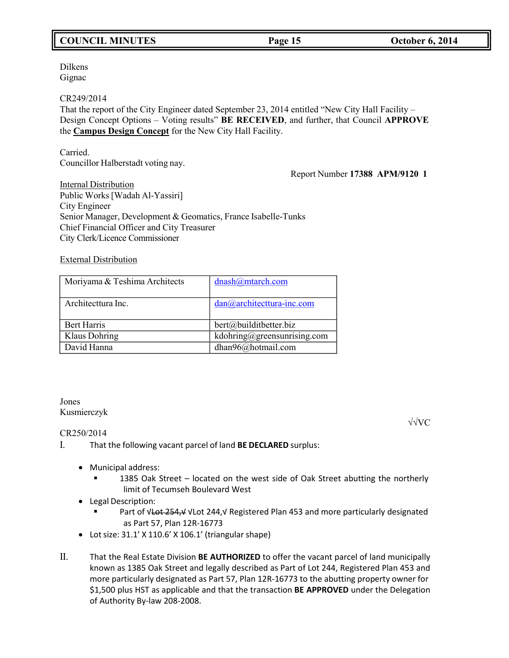# **COUNCIL MINUTES Page 15 October 6, 2014**

Dilkens Gignac

CR249/2014

That the report of the City Engineer dated September 23, 2014 entitled "New City Hall Facility – Design Concept Options – Voting results" **BE RECEIVED**, and further, that Council **APPROVE** the **Campus Design Concept** for the New City Hall Facility.

Carried. Councillor Halberstadt voting nay.

Report Number **17388 APM/9120 1**

Internal Distribution Public Works[Wadah Al-Yassiri] City Engineer Senior Manager, Development & Geomatics, France Isabelle-Tunks Chief Financial Officer and City Treasurer City Clerk/Licence Commissioner

External Distribution

| Moriyama & Teshima Architects | dnash@mtarch.com            |
|-------------------------------|-----------------------------|
| Architecttura Inc.            | dan@architecttura-inc.com   |
| <b>Bert Harris</b>            | bert@builditbetter.biz      |
| Klaus Dohring                 | kdohring@greensunrising.com |
| David Hanna                   | dhan96@hotmail.com          |

## Jones Kusmierczyk

√√VC

CR250/2014

- I. That the following vacant parcel of land **BE DECLARED** surplus:
	- Municipal address:
		- 1385 Oak Street located on the west side of Oak Street abutting the northerly limit of Tecumseh Boulevard West
	- Legal Description:
		- Part of √<del>Lot 254,√</del> √Lot 244,√ Registered Plan 453 and more particularly designated as Part 57, Plan 12R-16773
	- Lotsize: 31.1' X 110.6' X 106.1' (triangular shape)
- II. That the Real Estate Division **BE AUTHORIZED** to offer the vacant parcel of land municipally known as 1385 Oak Street and legally described as Part of Lot 244, Registered Plan 453 and more particularly designated as Part 57, Plan 12R-16773 to the abutting property owner for \$1,500 plus HST as applicable and that the transaction **BE APPROVED** under the Delegation of Authority By-law 208-2008.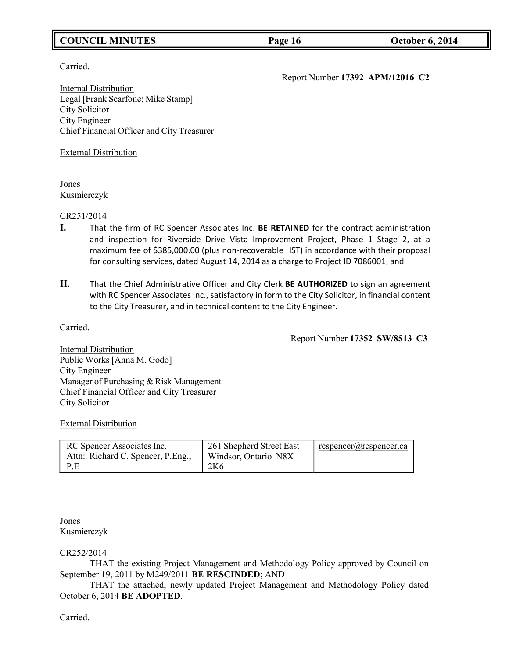# **COUNCIL MINUTES Page 16 October 6, 2014**

Carried.

Report Number **17392 APM/12016 C2**

Internal Distribution Legal [Frank Scarfone; Mike Stamp] City Solicitor City Engineer Chief Financial Officer and City Treasurer

External Distribution

Jones Kusmierczyk

CR251/2014

- **I.** That the firm of RC Spencer Associates Inc. **BE RETAINED** for the contract administration and inspection for Riverside Drive Vista Improvement Project, Phase 1 Stage 2, at a maximum fee of \$385,000.00 (plus non-recoverable HST) in accordance with their proposal for consulting services, dated August 14, 2014 as a charge to Project ID 7086001; and
- **II.** That the Chief Administrative Officer and City Clerk **BE AUTHORIZED** to sign an agreement with RC Spencer Associates Inc., satisfactory in form to the City Solicitor, in financial content to the City Treasurer, and in technical content to the City Engineer.

Carried.

Report Number **17352 SW/8513 C3**

Internal Distribution Public Works [Anna M. Godo] City Engineer Manager of Purchasing & Risk Management Chief Financial Officer and City Treasurer City Solicitor

External Distribution

| RC Spencer Associates Inc.<br>Attn: Richard C. Spencer, P. Eng., | 261 Shepherd Street East<br>Windsor, Ontario N8X | respencer@rcspencer.ca |
|------------------------------------------------------------------|--------------------------------------------------|------------------------|
| - P.E                                                            | 2K <sub>6</sub>                                  |                        |

Jones Kusmierczyk

CR252/2014

THAT the existing Project Management and Methodology Policy approved by Council on September 19, 2011 by M249/2011 **BE RESCINDED**; AND

THAT the attached, newly updated Project Management and Methodology Policy dated October 6, 2014 **BE ADOPTED**.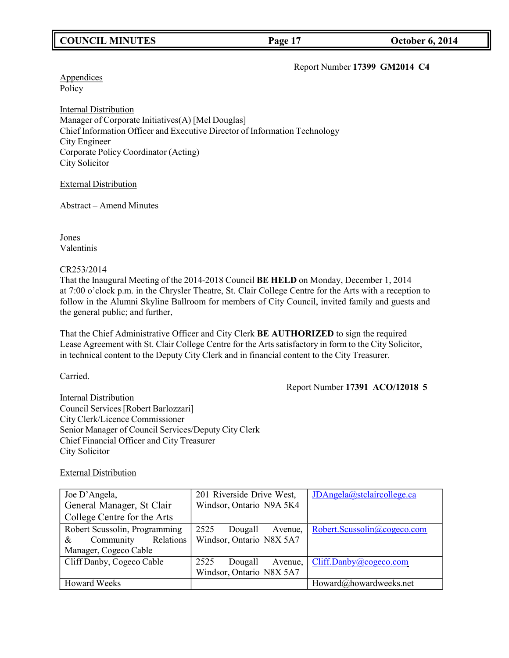# **COUNCIL MINUTES Page 17 October 6, 2014**

#### Report Number **17399 GM2014 C4**

**Appendices** Policy

Internal Distribution Manager of Corporate Initiatives(A) [Mel Douglas] Chief Information Officer and Executive Director of Information Technology City Engineer Corporate Policy Coordinator (Acting) City Solicitor

External Distribution

Abstract – Amend Minutes

Jones Valentinis

CR253/2014

That the Inaugural Meeting of the 2014-2018 Council **BE HELD** on Monday, December 1, 2014 at 7:00 o'clock p.m. in the Chrysler Theatre, St. Clair College Centre for the Arts with a reception to follow in the Alumni Skyline Ballroom for members of City Council, invited family and guests and the general public; and further,

That the Chief Administrative Officer and City Clerk **BE AUTHORIZED** to sign the required Lease Agreement with St. Clair College Centre for the Arts satisfactory in form to the City Solicitor, in technical content to the Deputy City Clerk and in financial content to the City Treasurer.

Carried.

Report Number **17391 ACO/12018 5**

Internal Distribution Council Services [Robert Barlozzari] City Clerk/Licence Commissioner Senior Manager of Council Services/Deputy City Clerk Chief Financial Officer and City Treasurer City Solicitor

External Distribution

| Joe D'Angela,                  | 201 Riverside Drive West,  | JDAngela@stclaircollege.ca  |
|--------------------------------|----------------------------|-----------------------------|
| General Manager, St Clair      | Windsor, Ontario N9A 5K4   |                             |
| College Centre for the Arts    |                            |                             |
| Robert Scussolin, Programming  | 2525<br>Dougall<br>Avenue, | Robert.Scussolin@cogeco.com |
| Community<br>Relations<br>$\&$ | Windsor, Ontario N8X 5A7   |                             |
| Manager, Cogeco Cable          |                            |                             |
| Cliff Danby, Cogeco Cable      | 2525<br>Dougall<br>Avenue, | Cliff.Danby@cogeco.com      |
|                                | Windsor, Ontario N8X 5A7   |                             |
| <b>Howard Weeks</b>            |                            | Howard@howardweeks.net      |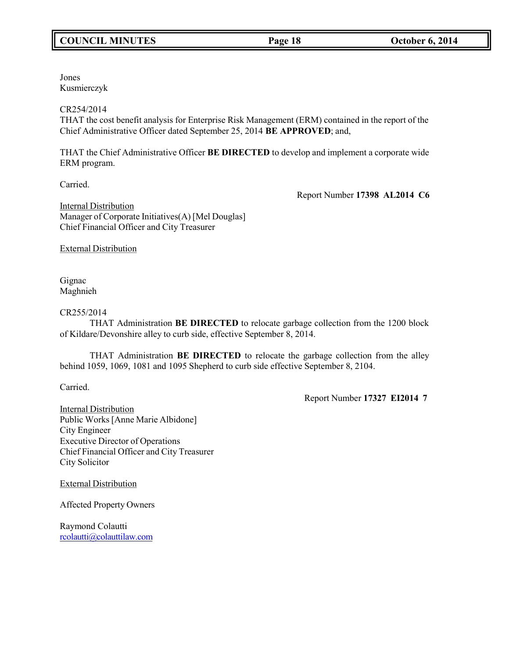# **COUNCIL MINUTES Page 18 October 6, 2014**

Jones Kusmierczyk

### CR254/2014

THAT the cost benefit analysis for Enterprise Risk Management (ERM) contained in the report of the Chief Administrative Officer dated September 25, 2014 **BE APPROVED**; and,

THAT the Chief Administrative Officer **BE DIRECTED** to develop and implement a corporate wide ERM program.

Carried.

Report Number **17398 AL2014 C6**

Internal Distribution Manager of Corporate Initiatives(A) [Mel Douglas] Chief Financial Officer and City Treasurer

External Distribution

Gignac Maghnieh

### CR255/2014

THAT Administration **BE DIRECTED** to relocate garbage collection from the 1200 block of Kildare/Devonshire alley to curb side, effective September 8, 2014.

THAT Administration **BE DIRECTED** to relocate the garbage collection from the alley behind 1059, 1069, 1081 and 1095 Shepherd to curb side effective September 8, 2104.

Carried.

Report Number **17327 EI2014 7**

Internal Distribution Public Works [Anne Marie Albidone] City Engineer Executive Director of Operations Chief Financial Officer and City Treasurer City Solicitor

External Distribution

Affected Property Owners

Raymond Colautti [rcolautti@colauttilaw.com](mailto:rcolautti@colauttilaw.com)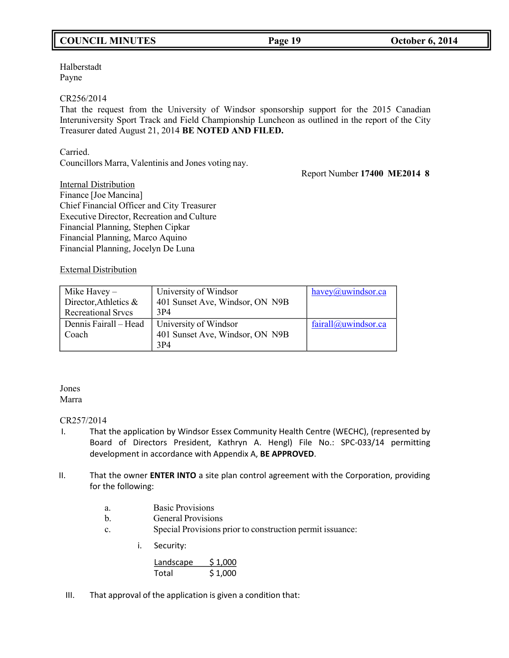# **COUNCIL MINUTES Page 19 October 6, 2014**

Halberstadt Payne

#### CR256/2014

That the request from the University of Windsor sponsorship support for the 2015 Canadian Interuniversity Sport Track and Field Championship Luncheon as outlined in the report of the City Treasurer dated August 21, 2014 **BE NOTED AND FILED.**

Carried.

Councillors Marra, Valentinis and Jones voting nay.

Report Number **17400 ME2014 8**

Internal Distribution Finance [Joe Mancina] Chief Financial Officer and City Treasurer Executive Director, Recreation and Culture Financial Planning, Stephen Cipkar Financial Planning, Marco Aquino Financial Planning, Jocelyn De Luna

### External Distribution

| Mike Havey $-$<br>Director, Athletics &<br><b>Recreational Srvcs</b> | University of Windsor<br>401 Sunset Ave, Windsor, ON N9B<br>3P <sub>4</sub> | havey@uwindsor.ca   |
|----------------------------------------------------------------------|-----------------------------------------------------------------------------|---------------------|
| Dennis Fairall - Head<br>Coach                                       | University of Windsor<br>401 Sunset Ave, Windsor, ON N9B<br>3P4             | fairall@uwindsor.ca |

#### Jones Marra

### CR257/2014

- I. That the application by Windsor Essex Community Health Centre (WECHC), (represented by Board of Directors President, Kathryn A. Hengl) File No.: SPC-033/14 permitting development in accordance with Appendix A, **BE APPROVED**.
- II. That the owner **ENTER INTO** a site plan control agreement with the Corporation, providing for the following:
	- a. Basic Provisions
	- b. General Provisions
	- c. Special Provisions prior to construction permit issuance:
		- i. Security:

| Landscape | \$1,000 |
|-----------|---------|
| Total     | \$1,000 |

III. That approval of the application is given a condition that: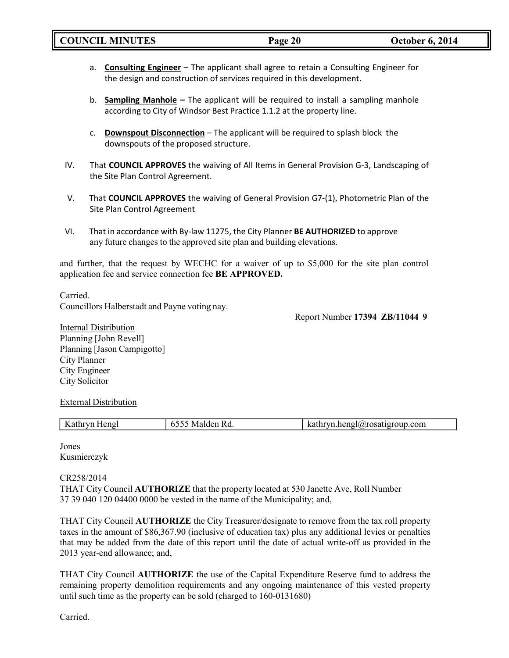- a. **Consulting Engineer** The applicant shall agree to retain a Consulting Engineer for the design and construction of services required in this development.
- b. **Sampling Manhole –** The applicant will be required to install a sampling manhole according to City of Windsor Best Practice 1.1.2 at the property line.
- c. **Downspout Disconnection** The applicant will be required to splash block the downspouts of the proposed structure.
- IV. That **COUNCIL APPROVES** the waiving of All Items in General Provision G-3, Landscaping of the Site Plan Control Agreement.
- V. That **COUNCIL APPROVES** the waiving of General Provision G7-(1), Photometric Plan of the Site Plan Control Agreement
- VI. That in accordance with By-law 11275, the City Planner **BE AUTHORIZED** to approve any future changes to the approved site plan and building elevations.

and further, that the request by WECHC for a waiver of up to \$5,000 for the site plan control application fee and service connection fee **BE APPROVED.**

Carried. Councillors Halberstadt and Payne voting nay.

Report Number **17394 ZB/11044 9**

**Internal Distribution** Planning [John Revell] Planning [Jason Campigotto] City Planner City Engineer City Solicitor

### External Distribution

| --<br>:11 U<br>-------- | .com<br>.<br>$\mathbf{v}$<br>' ISAH E<br>11 U |
|-------------------------|-----------------------------------------------|
|                         |                                               |

Jones Kusmierczyk

### CR258/2014

THAT City Council **AUTHORIZE** that the property located at 530 Janette Ave, Roll Number 37 39 040 120 04400 0000 be vested in the name of the Municipality; and,

THAT City Council **AUTHORIZE** the City Treasurer/designate to remove from the tax roll property taxes in the amount of \$86,367.90 (inclusive of education tax) plus any additional levies or penalties that may be added from the date of this report until the date of actual write-off as provided in the 2013 year-end allowance; and,

THAT City Council **AUTHORIZE** the use of the Capital Expenditure Reserve fund to address the remaining property demolition requirements and any ongoing maintenance of this vested property until such time as the property can be sold (charged to 160-0131680)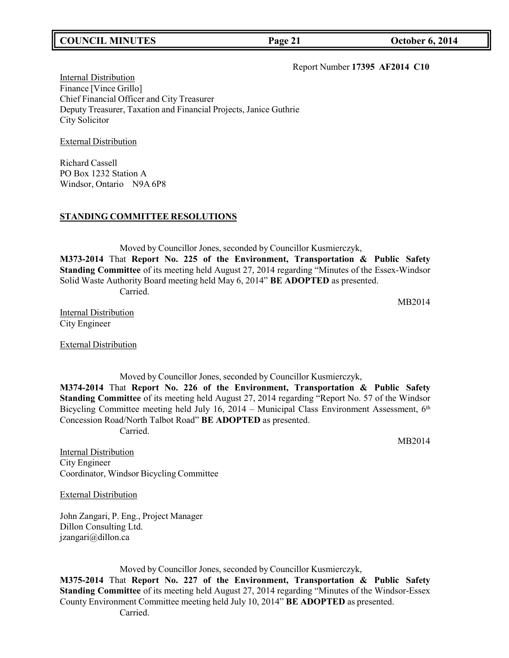# **COUNCIL MINUTES Page 21 October 6, 2014**

#### Report Number **17395 AF2014 C10**

Internal Distribution Finance [Vince Grillo] Chief Financial Officer and City Treasurer Deputy Treasurer, Taxation and Financial Projects, Janice Guthrie City Solicitor

External Distribution

Richard Cassell PO Box 1232 Station A Windsor, Ontario N9A 6P8

## **STANDING COMMITTEE RESOLUTIONS**

Moved by Councillor Jones, seconded by Councillor Kusmierczyk, **M373-2014** That **Report No. 225 of the Environment, Transportation & Public Safety Standing Committee** of its meeting held August 27, 2014 regarding "Minutes of the Essex-Windsor Solid Waste Authority Board meeting held May 6, 2014" **BE ADOPTED** as presented. Carried.

MB2014

MB2014

Internal Distribution City Engineer

External Distribution

Moved by Councillor Jones, seconded by Councillor Kusmierczyk, **M374-2014** That **Report No. 226 of the Environment, Transportation & Public Safety Standing Committee** of its meeting held August 27, 2014 regarding "Report No. 57 of the Windsor Bicycling Committee meeting held July 16, 2014 – Municipal Class Environment Assessment, 6<sup>th</sup> Concession Road/North Talbot Road" **BE ADOPTED** as presented. Carried.

Internal Distribution City Engineer Coordinator, Windsor Bicycling Committee

External Distribution

John Zangari, P. Eng., Project Manager Dillon Consulting Ltd. [jzangari@dillon.ca](mailto:jzangari@dillon.ca)

Moved by Councillor Jones, seconded by Councillor Kusmierczyk, **M375-2014** That **Report No. 227 of the Environment, Transportation & Public Safety Standing Committee** of its meeting held August 27, 2014 regarding "Minutes of the Windsor-Essex County Environment Committee meeting held July 10, 2014" **BE ADOPTED** as presented. Carried.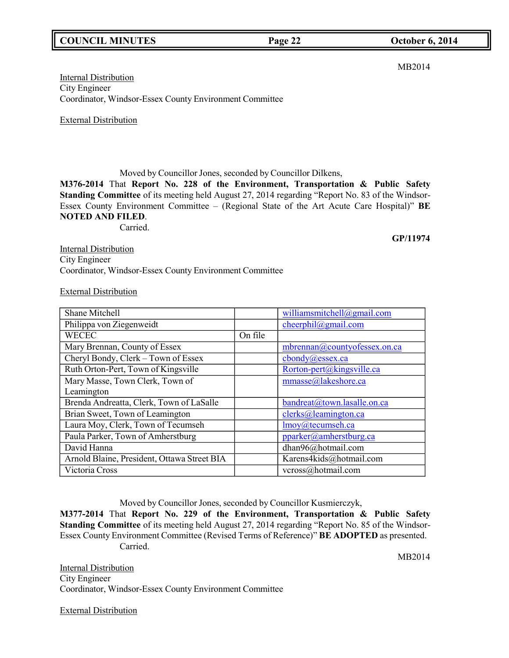# **COUNCIL MINUTES Page 22 October 6, 2014**

# Internal Distribution City Engineer Coordinator, Windsor-Essex County Environment Committee

External Distribution

Moved by Councillor Jones, seconded by Councillor Dilkens,

**M376-2014** That **Report No. 228 of the Environment, Transportation & Public Safety Standing Committee** of its meeting held August 27, 2014 regarding "Report No. 83 of the Windsor-Essex County Environment Committee – (Regional State of the Art Acute Care Hospital)" **BE NOTED AND FILED**.

Carried.

**Internal Distribution** City Engineer Coordinator, Windsor-Essex County Environment Committee

External Distribution

| Shane Mitchell                              |         | williamsmitchell@gmail.com   |
|---------------------------------------------|---------|------------------------------|
| Philippa von Ziegenweidt                    |         | cheerphil@gmail.com          |
| <b>WECEC</b>                                | On file |                              |
| Mary Brennan, County of Essex               |         | mbrennan@countyofessex.on.ca |
| Cheryl Bondy, Clerk – Town of Essex         |         | $\text{chondy}(a)$ essex.ca  |
| Ruth Orton-Pert, Town of Kingsville         |         | Rorton-pert@kingsville.ca    |
| Mary Masse, Town Clerk, Town of             |         | mmasse@lakeshore.ca          |
| Leamington                                  |         |                              |
| Brenda Andreatta, Clerk, Town of LaSalle    |         | bandreat@town.lasalle.on.ca  |
| Brian Sweet, Town of Leamington             |         | clerks@leamington.ca         |
| Laura Moy, Clerk, Town of Tecumseh          |         | lmoy@tecumseh.ca             |
| Paula Parker, Town of Amherstburg           |         | pparker@amherstburg.ca       |
| David Hanna                                 |         | dhan96@hotmail.com           |
| Arnold Blaine, President, Ottawa Street BIA |         | Karens4kids@hotmail.com      |
| Victoria Cross                              |         | vcross@hotmail.com           |

Moved by Councillor Jones, seconded by Councillor Kusmierczyk,

**M377-2014** That **Report No. 229 of the Environment, Transportation & Public Safety Standing Committee** of its meeting held August 27, 2014 regarding "Report No. 85 of the Windsor-Essex County Environment Committee (Revised Terms of Reference)" **BE ADOPTED** as presented. Carried.

Internal Distribution City Engineer Coordinator, Windsor-Essex County Environment Committee

External Distribution

MB2014

MB2014

**GP/11974**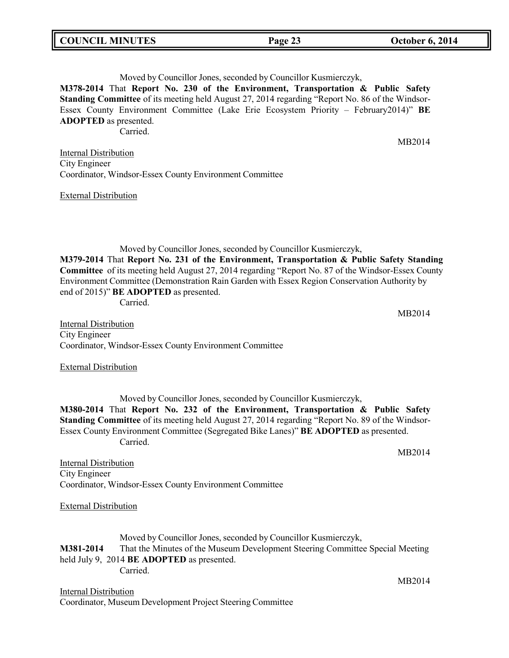| <b>COUNCIL MINUTES</b><br><b>October 6, 2014</b><br>Page 23 |  |
|-------------------------------------------------------------|--|
|-------------------------------------------------------------|--|

Moved by Councillor Jones, seconded by Councillor Kusmierczyk,

**M378-2014** That **Report No. 230 of the Environment, Transportation & Public Safety Standing Committee** of its meeting held August 27, 2014 regarding "Report No. 86 of the Windsor-Essex County Environment Committee (Lake Erie Ecosystem Priority – February2014)" **BE ADOPTED** as presented.

Carried.

Internal Distribution City Engineer Coordinator, Windsor-Essex County Environment Committee

External Distribution

Moved by Councillor Jones, seconded by Councillor Kusmierczyk, **M379-2014** That **Report No. 231 of the Environment, Transportation & Public Safety Standing Committee** of its meeting held August 27, 2014 regarding "Report No. 87 of the Windsor-Essex County Environment Committee (Demonstration Rain Garden with Essex Region Conservation Authority by end of 2015)" **BE ADOPTED** as presented.

Carried.

Internal Distribution City Engineer Coordinator, Windsor-Essex County Environment Committee

External Distribution

Moved by Councillor Jones, seconded by Councillor Kusmierczyk, **M380-2014** That **Report No. 232 of the Environment, Transportation & Public Safety Standing Committee** of its meeting held August 27, 2014 regarding "Report No. 89 of the Windsor-Essex County Environment Committee (Segregated Bike Lanes)" **BE ADOPTED** as presented. Carried.

Internal Distribution City Engineer Coordinator, Windsor-Essex County Environment Committee

External Distribution

Moved by Councillor Jones, seconded by Councillor Kusmierczyk, **M381-2014** That the Minutes of the Museum Development Steering Committee Special Meeting held July 9, 2014 **BE ADOPTED** as presented. Carried.

Internal Distribution Coordinator, Museum Development Project Steering Committee MB2014

MB2014

MB2014

MB2014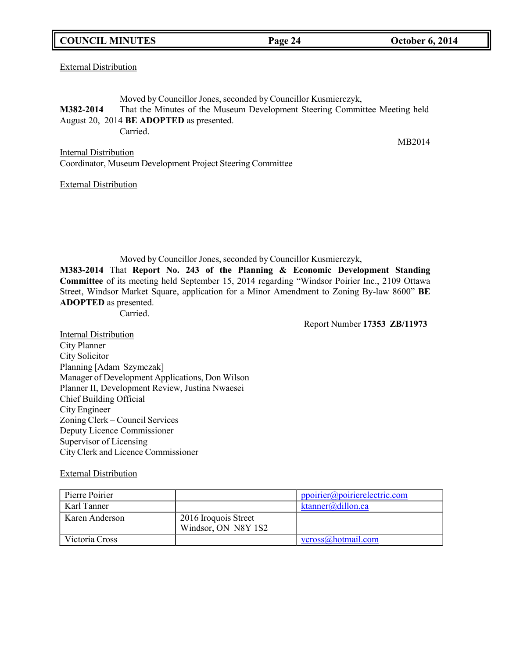## **COUNCIL MINUTES Page 24 October 6, 2014**

External Distribution

Moved by Councillor Jones, seconded by Councillor Kusmierczyk, **M382-2014** That the Minutes of the Museum Development Steering Committee Meeting held August 20, 2014 **BE ADOPTED** as presented. Carried.

Internal Distribution Coordinator, Museum Development Project Steering Committee

External Distribution

Moved by Councillor Jones, seconded by Councillor Kusmierczyk, **M383-2014** That **Report No. 243 of the Planning & Economic Development Standing Committee** of its meeting held September 15, 2014 regarding "Windsor Poirier Inc., 2109 Ottawa Street, Windsor Market Square, application for a Minor Amendment to Zoning By-law 8600" **BE ADOPTED** as presented.

Carried.

Report Number **17353 ZB/11973**

Internal Distribution City Planner City Solicitor Planning [Adam Szymczak] Manager of Development Applications, Don Wilson Planner II, Development Review, Justina Nwaesei Chief Building Official City Engineer Zoning Clerk – Council Services Deputy Licence Commissioner Supervisor of Licensing City Clerk and Licence Commissioner

External Distribution

| Pierre Poirier |                                             | ppoirier@poirierelectric.com |
|----------------|---------------------------------------------|------------------------------|
| Karl Tanner    |                                             | ktanner@dillon.ca            |
| Karen Anderson | 2016 Iroquois Street<br>Windsor, ON N8Y 1S2 |                              |
| Victoria Cross |                                             | vcross@hotmail.com           |

MB2014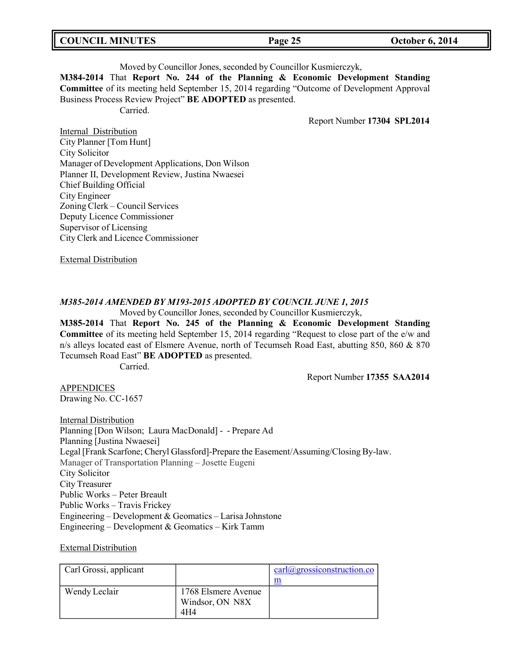| <b>COUNCIL MINUTES</b> |  |  |
|------------------------|--|--|
|------------------------|--|--|

#### Moved by Councillor Jones, seconded by Councillor Kusmierczyk,

**M384-2014** That **Report No. 244 of the Planning & Economic Development Standing Committee** of its meeting held September 15, 2014 regarding "Outcome of Development Approval Business Process Review Project" **BE ADOPTED** as presented.

Carried.

Report Number **17304 SPL2014**

Internal Distribution City Planner [Tom Hunt] City Solicitor Manager of Development Applications, Don Wilson Planner II, Development Review, Justina Nwaesei Chief Building Official City Engineer Zoning Clerk – Council Services Deputy Licence Commissioner Supervisor of Licensing City Clerk and Licence Commissioner

External Distribution

### *M385-2014 AMENDED BY M193-2015 ADOPTED BY COUNCIL JUNE 1, 2015*

Moved by Councillor Jones, seconded by Councillor Kusmierczyk,

**M385-2014** That **Report No. 245 of the Planning & Economic Development Standing Committee** of its meeting held September 15, 2014 regarding "Request to close part of the e/w and n/s alleys located east of Elsmere Avenue, north of Tecumseh Road East, abutting 850, 860 & 870 Tecumseh Road East" **BE ADOPTED** as presented.

Carried.

Report Number **17355 SAA2014**

APPENDICES Drawing No. CC-1657

**Internal Distribution** Planning [Don Wilson; Laura MacDonald] - - Prepare Ad Planning [Justina Nwaesei] Legal [Frank Scarfone; Cheryl Glassford]-Prepare the Easement/Assuming/Closing By-law. Manager of Transportation Planning – Josette Eugeni City Solicitor City Treasurer Public Works – Peter Breault Public Works – Travis Frickey Engineering – Development & Geomatics – Larisa Johnstone Engineering – Development & Geomatics – Kirk Tamm

External Distribution

| Carl Grossi, applicant |                     | $\text{carl}(\hat{\omega})$ grossiconstruction.co |
|------------------------|---------------------|---------------------------------------------------|
|                        |                     | m                                                 |
| Wendy Leclair          | 1768 Elsmere Avenue |                                                   |
|                        | Windsor, ON N8X     |                                                   |
|                        | 4H4                 |                                                   |

**Page 25 October 6, 2014**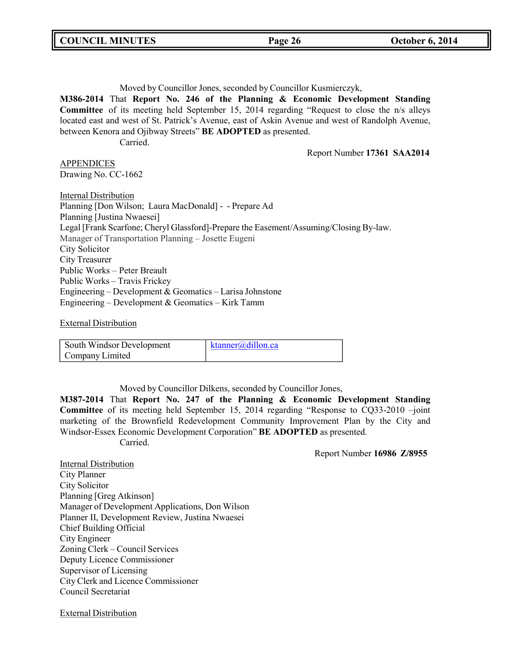Moved by Councillor Jones, seconded by Councillor Kusmierczyk, **M386-2014** That **Report No. 246 of the Planning & Economic Development Standing Committee** of its meeting held September 15, 2014 regarding "Request to close the n/s alleys located east and west of St. Patrick's Avenue, east of Askin Avenue and west of Randolph Avenue, between Kenora and Ojibway Streets" **BE ADOPTED** as presented. Carried. Report Number **17361 SAA2014** APPENDICES Drawing No. CC-1662 **Internal Distribution** Planning [Don Wilson; Laura MacDonald] - - Prepare Ad Planning [Justina Nwaesei] Legal [Frank Scarfone; Cheryl Glassford]-Prepare the Easement/Assuming/Closing By-law. Manager of Transportation Planning – Josette Eugeni City Solicitor City Treasurer Public Works – Peter Breault Public Works – Travis Frickey Engineering – Development & Geomatics – Larisa Johnstone Engineering – Development & Geomatics – Kirk Tamm

External Distribution

| South Windsor Development | ktanner@dillon.ca |
|---------------------------|-------------------|
| Company Limited           |                   |

Moved by Councillor Dilkens, seconded by Councillor Jones,

**M387-2014** That **Report No. 247 of the Planning & Economic Development Standing Committee** of its meeting held September 15, 2014 regarding "Response to CQ33-2010 –joint marketing of the Brownfield Redevelopment Community Improvement Plan by the City and Windsor-Essex Economic Development Corporation" **BE ADOPTED** as presented. Carried.

Report Number **16986 Z/8955**

Internal Distribution City Planner City Solicitor Planning [Greg Atkinson] Manager of Development Applications, Don Wilson Planner II, Development Review, Justina Nwaesei Chief Building Official City Engineer Zoning Clerk – Council Services Deputy Licence Commissioner Supervisor of Licensing City Clerk and Licence Commissioner Council Secretariat

External Distribution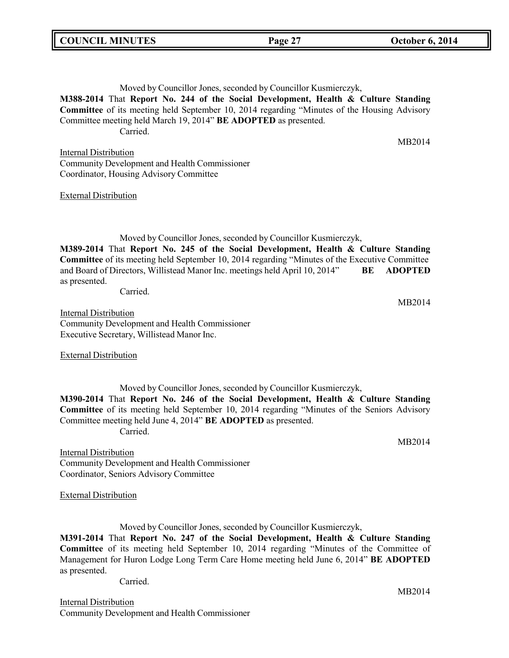# Moved by Councillor Jones, seconded by Councillor Kusmierczyk,

**M388-2014** That **Report No. 244 of the Social Development, Health & Culture Standing Committee** of its meeting held September 10, 2014 regarding "Minutes of the Housing Advisory Committee meeting held March 19, 2014" **BE ADOPTED** as presented. Carried.

Internal Distribution Community Development and Health Commissioner Coordinator, Housing Advisory Committee

#### External Distribution

Moved by Councillor Jones, seconded by Councillor Kusmierczyk, **M389-2014** That **Report No. 245 of the Social Development, Health & Culture Standing Committee** of its meeting held September 10, 2014 regarding "Minutes of the Executive Committee and Board of Directors, Willistead Manor Inc. meetings held April 10, 2014" **BE ADOPTED** as presented.

Carried.

MB2014

Internal Distribution Community Development and Health Commissioner Executive Secretary, Willistead Manor Inc.

External Distribution

Moved by Councillor Jones, seconded by Councillor Kusmierczyk, **M390-2014** That **Report No. 246 of the Social Development, Health & Culture Standing Committee** of its meeting held September 10, 2014 regarding "Minutes of the Seniors Advisory Committee meeting held June 4, 2014" **BE ADOPTED** as presented. Carried.

Internal Distribution Community Development and Health Commissioner Coordinator, Seniors Advisory Committee

External Distribution

Moved by Councillor Jones, seconded by Councillor Kusmierczyk,

**M391-2014** That **Report No. 247 of the Social Development, Health & Culture Standing Committee** of its meeting held September 10, 2014 regarding "Minutes of the Committee of Management for Huron Lodge Long Term Care Home meeting held June 6, 2014" **BE ADOPTED** as presented.

Carried.

Internal Distribution Community Development and Health Commissioner MB2014

MB2014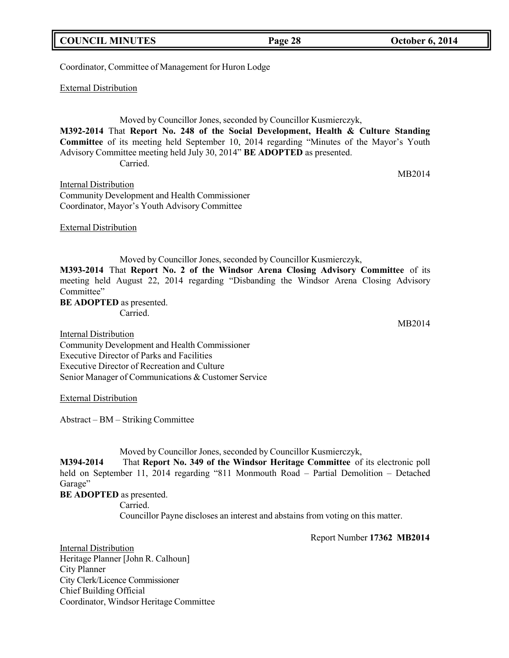|  | _________ |  | ____ |  |
|--|-----------|--|------|--|
|  |           |  |      |  |
|  |           |  |      |  |
|  |           |  |      |  |
|  |           |  |      |  |
|  |           |  |      |  |

Coordinator, Committee of Management for Huron Lodge

External Distribution

Moved by Councillor Jones, seconded by Councillor Kusmierczyk, **M392-2014** That **Report No. 248 of the Social Development, Health & Culture Standing Committee** of its meeting held September 10, 2014 regarding "Minutes of the Mayor's Youth Advisory Committee meeting held July 30, 2014" **BE ADOPTED** as presented. Carried.

Internal Distribution Community Development and Health Commissioner Coordinator, Mayor's Youth Advisory Committee

External Distribution

Moved by Councillor Jones, seconded by Councillor Kusmierczyk,

**M393-2014** That **Report No. 2 of the Windsor Arena Closing Advisory Committee** of its meeting held August 22, 2014 regarding "Disbanding the Windsor Arena Closing Advisory

Senior Manager of Communications & Customer Service

External Distribution

Abstract – BM – Striking Committee

Moved by Councillor Jones, seconded by Councillor Kusmierczyk,

**M394-2014** That **Report No. 349 of the Windsor Heritage Committee** of its electronic poll held on September 11, 2014 regarding "811 Monmouth Road – Partial Demolition – Detached Garage"

**BE ADOPTED** as presented. Carried. Councillor Payne discloses an interest and abstains from voting on this matter.

Report Number **17362 MB2014**

Internal Distribution Heritage Planner [John R. Calhoun] City Planner City Clerk/Licence Commissioner Chief Building Official Coordinator, Windsor Heritage Committee

Committee" **BE ADOPTED** as presented. Carried.

Internal Distribution Community Development and Health Commissioner Executive Director of Parks and Facilities Executive Director of Recreation and Culture

MB2014

MB2014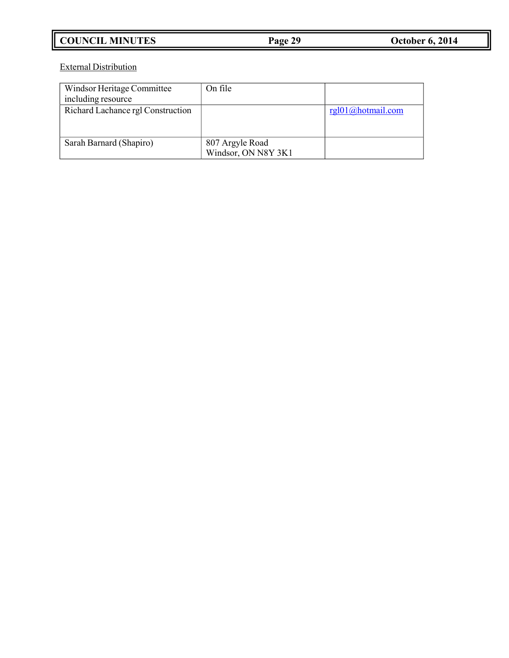# **COUNCIL MINUTES Page 29 October 6, 2014**

External Distribution

| Windsor Heritage Committee<br>including resource | On file                                |                   |
|--------------------------------------------------|----------------------------------------|-------------------|
| Richard Lachance rgl Construction                |                                        | rgl01@hotmail.com |
| Sarah Barnard (Shapiro)                          | 807 Argyle Road<br>Windsor, ON N8Y 3K1 |                   |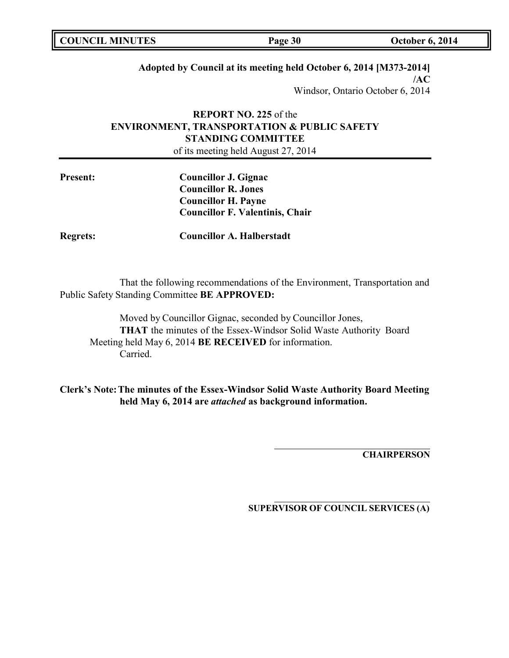| <b>COUNCIL MINUTES</b> | Page 30 | <b>October 6, 2014</b> |
|------------------------|---------|------------------------|
|                        |         |                        |

## **Adopted by Council at its meeting held October 6, 2014 [M373-2014]**

**/AC** Windsor, Ontario October 6, 2014

# **REPORT NO. 225** of the **ENVIRONMENT, TRANSPORTATION & PUBLIC SAFETY STANDING COMMITTEE**

of its meeting held August 27, 2014

| <b>Present:</b> | <b>Councillor J. Gignac</b>            |
|-----------------|----------------------------------------|
|                 | <b>Councillor R. Jones</b>             |
|                 | <b>Councillor H. Payne</b>             |
|                 | <b>Councillor F. Valentinis, Chair</b> |
|                 |                                        |

**Regrets: Councillor A. Halberstadt**

That the following recommendations of the Environment, Transportation and Public Safety Standing Committee **BE APPROVED:**

Moved by Councillor Gignac, seconded by Councillor Jones, **THAT** the minutes of the Essex-Windsor Solid Waste Authority Board Meeting held May 6, 2014 **BE RECEIVED** for information. Carried.

**Clerk's Note:The minutes of the Essex-Windsor Solid Waste Authority Board Meeting held May 6, 2014 are** *attached* **as background information.**

**CHAIRPERSON**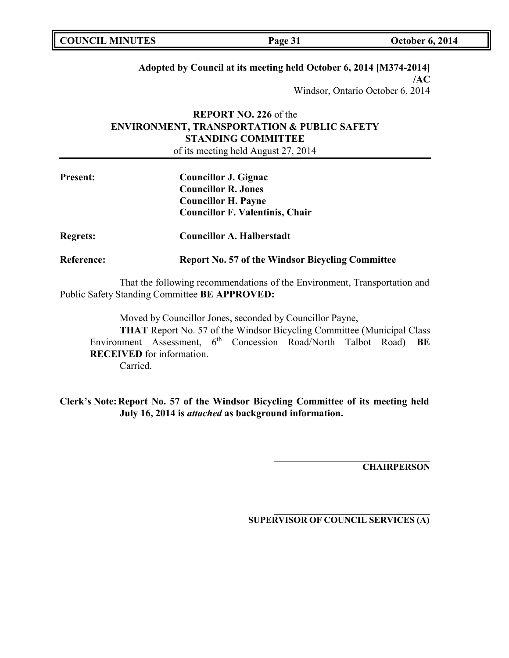| <b>COUNCIL MINUTES</b><br><b>October 6, 2014</b><br>Page 31 |  |
|-------------------------------------------------------------|--|
|-------------------------------------------------------------|--|

### **Adopted by Council at its meeting held October 6, 2014 [M374-2014]**

**/AC** Windsor, Ontario October 6, 2014

# **REPORT NO. 226** of the **ENVIRONMENT, TRANSPORTATION & PUBLIC SAFETY STANDING COMMITTEE**

of its meeting held August 27, 2014

| <b>Present:</b>   | Councillor J. Gignac<br><b>Councillor R. Jones</b>      |  |  |
|-------------------|---------------------------------------------------------|--|--|
|                   |                                                         |  |  |
|                   | <b>Councillor H. Payne</b>                              |  |  |
|                   | <b>Councillor F. Valentinis, Chair</b>                  |  |  |
| <b>Regrets:</b>   | <b>Councillor A. Halberstadt</b>                        |  |  |
| <b>Reference:</b> | <b>Report No. 57 of the Windsor Bicycling Committee</b> |  |  |

That the following recommendations of the Environment, Transportation and Public Safety Standing Committee **BE APPROVED:**

Moved by Councillor Jones, seconded by Councillor Payne, **THAT** Report No. 57 of the Windsor Bicycling Committee (Municipal Class Environment Assessment, 6 th Concession Road/North Talbot Road) **BE RECEIVED** for information. Carried.

**Clerk's Note:Report No. 57 of the Windsor Bicycling Committee of its meeting held July 16, 2014 is** *attached* **as background information.**

**CHAIRPERSON**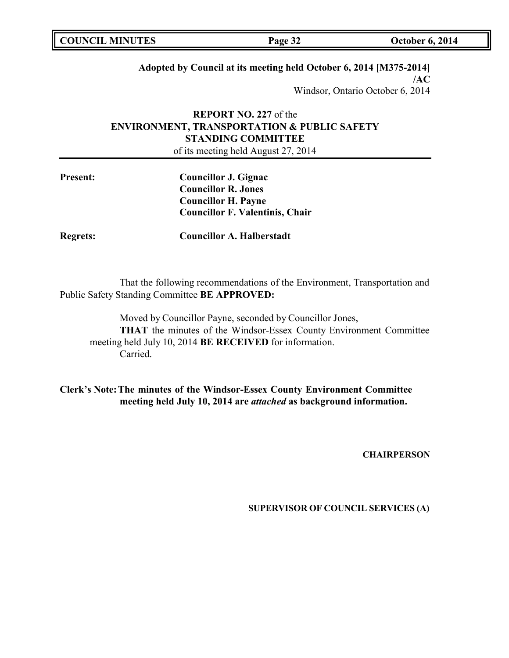| <b>COUNCIL MINUTES</b> | Page 32 | <b>October 6, 2014</b> |
|------------------------|---------|------------------------|
|------------------------|---------|------------------------|

### **Adopted by Council at its meeting held October 6, 2014 [M375-2014]**

**/AC** Windsor, Ontario October 6, 2014

# **REPORT NO. 227** of the **ENVIRONMENT, TRANSPORTATION & PUBLIC SAFETY STANDING COMMITTEE**

of its meeting held August 27, 2014

| <b>Present:</b> | <b>Councillor J. Gignac</b>            |
|-----------------|----------------------------------------|
|                 | <b>Councillor R. Jones</b>             |
|                 | <b>Councillor H. Payne</b>             |
|                 | <b>Councillor F. Valentinis, Chair</b> |
|                 |                                        |

**Regrets: Councillor A. Halberstadt**

That the following recommendations of the Environment, Transportation and Public Safety Standing Committee **BE APPROVED:**

Moved by Councillor Payne, seconded by Councillor Jones, **THAT** the minutes of the Windsor-Essex County Environment Committee meeting held July 10, 2014 **BE RECEIVED** for information. Carried.

**Clerk's Note:The minutes of the Windsor-Essex County Environment Committee meeting held July 10, 2014 are** *attached* **as background information.**

**CHAIRPERSON**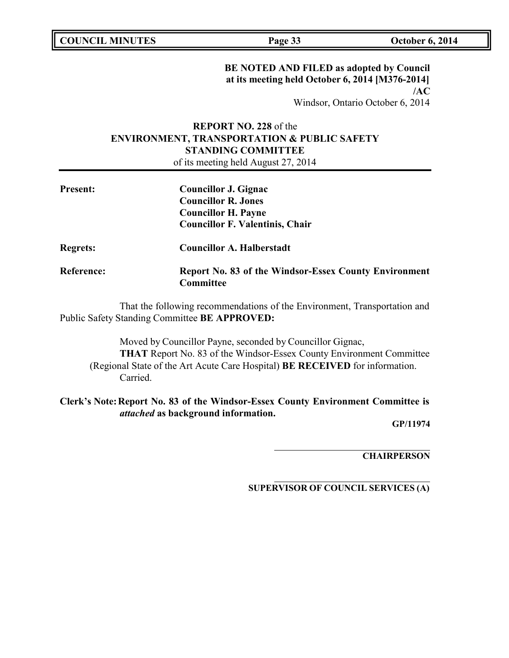# **BE NOTED AND FILED as adopted by Council at its meeting held October 6, 2014 [M376-2014] /AC**

Windsor, Ontario October 6, 2014

# **REPORT NO. 228** of the **ENVIRONMENT, TRANSPORTATION & PUBLIC SAFETY STANDING COMMITTEE**

of its meeting held August 27, 2014

| <b>Present:</b>   | Councillor J. Gignac                                         |
|-------------------|--------------------------------------------------------------|
|                   | <b>Councillor R. Jones</b>                                   |
|                   | <b>Councillor H. Payne</b>                                   |
|                   | <b>Councillor F. Valentinis, Chair</b>                       |
| <b>Regrets:</b>   | <b>Councillor A. Halberstadt</b>                             |
| <b>Reference:</b> | <b>Report No. 83 of the Windsor-Essex County Environment</b> |
|                   | Committee                                                    |

That the following recommendations of the Environment, Transportation and Public Safety Standing Committee **BE APPROVED:**

Moved by Councillor Payne, seconded by Councillor Gignac, **THAT** Report No. 83 of the Windsor-Essex County Environment Committee (Regional State of the Art Acute Care Hospital) **BE RECEIVED** for information. Carried.

# **Clerk's Note:Report No. 83 of the Windsor-Essex County Environment Committee is** *attached* **as background information.**

**GP/11974**

**CHAIRPERSON**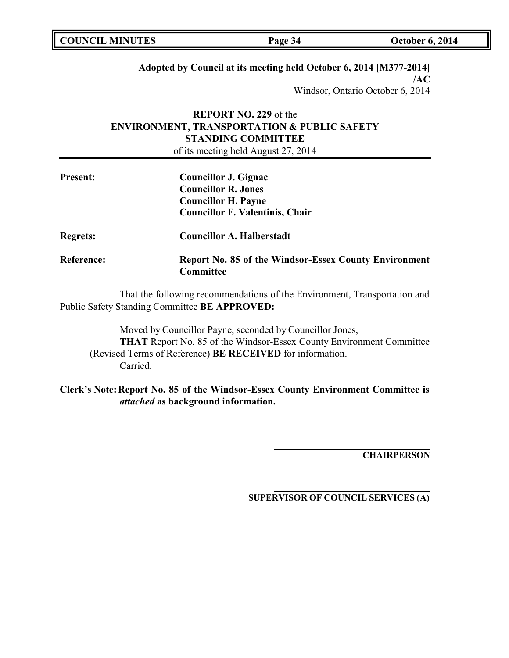## **Adopted by Council at its meeting held October 6, 2014 [M377-2014]**

**/AC** Windsor, Ontario October 6, 2014

# **REPORT NO. 229** of the **ENVIRONMENT, TRANSPORTATION & PUBLIC SAFETY STANDING COMMITTEE**

of its meeting held August 27, 2014

| <b>Present:</b>   | <b>Councillor J. Gignac</b>                                               |
|-------------------|---------------------------------------------------------------------------|
|                   | <b>Councillor R. Jones</b>                                                |
|                   | <b>Councillor H. Payne</b>                                                |
|                   | <b>Councillor F. Valentinis, Chair</b>                                    |
| <b>Regrets:</b>   | <b>Councillor A. Halberstadt</b>                                          |
| <b>Reference:</b> | <b>Report No. 85 of the Windsor-Essex County Environment</b><br>Committee |

That the following recommendations of the Environment, Transportation and Public Safety Standing Committee **BE APPROVED:**

Moved by Councillor Payne, seconded by Councillor Jones, **THAT** Report No. 85 of the Windsor-Essex County Environment Committee (Revised Terms of Reference) **BE RECEIVED** for information. Carried.

**Clerk's Note:Report No. 85 of the Windsor-Essex County Environment Committee is** *attached* **as background information.**

**CHAIRPERSON**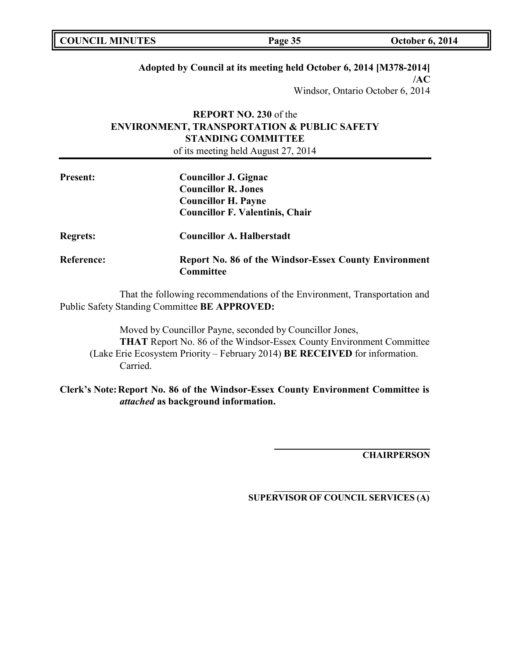|--|

### **Adopted by Council at its meeting held October 6, 2014 [M378-2014]**

**/AC** Windsor, Ontario October 6, 2014

# **REPORT NO. 230** of the **ENVIRONMENT, TRANSPORTATION & PUBLIC SAFETY STANDING COMMITTEE**

of its meeting held August 27, 2014

| <b>Present:</b>   | <b>Councillor J. Gignac</b>                                               |
|-------------------|---------------------------------------------------------------------------|
|                   | <b>Councillor R. Jones</b>                                                |
|                   | <b>Councillor H. Payne</b>                                                |
|                   | <b>Councillor F. Valentinis, Chair</b>                                    |
| <b>Regrets:</b>   | <b>Councillor A. Halberstadt</b>                                          |
| <b>Reference:</b> | <b>Report No. 86 of the Windsor-Essex County Environment</b><br>Committee |

That the following recommendations of the Environment, Transportation and Public Safety Standing Committee **BE APPROVED:**

Moved by Councillor Payne, seconded by Councillor Jones, **THAT** Report No. 86 of the Windsor-Essex County Environment Committee (Lake Erie Ecosystem Priority – February 2014) **BE RECEIVED** for information. Carried.

**Clerk's Note:Report No. 86 of the Windsor-Essex County Environment Committee is** *attached* **as background information.**

**CHAIRPERSON**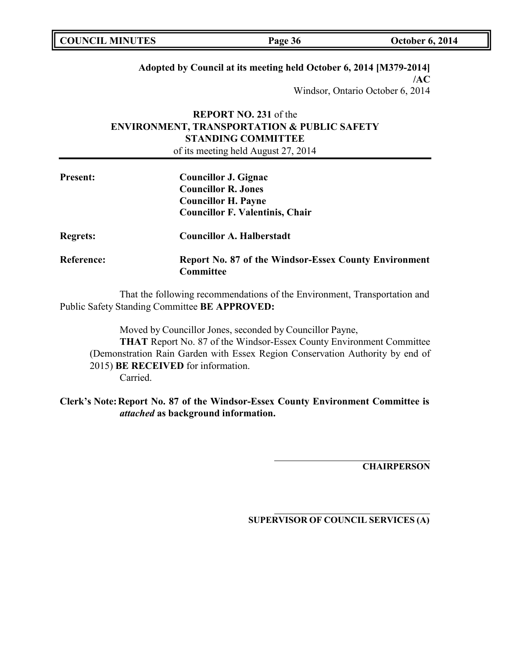| <b>COUNCIL MINUTES</b> | Page 36 | <b>October 6, 2014</b> |
|------------------------|---------|------------------------|
|                        |         |                        |

### **Adopted by Council at its meeting held October 6, 2014 [M379-2014]**

**/AC** Windsor, Ontario October 6, 2014

# **REPORT NO. 231** of the **ENVIRONMENT, TRANSPORTATION & PUBLIC SAFETY STANDING COMMITTEE**

of its meeting held August 27, 2014

| <b>Present:</b>   | Councillor J. Gignac                                                             |
|-------------------|----------------------------------------------------------------------------------|
|                   | <b>Councillor R. Jones</b>                                                       |
|                   | <b>Councillor H. Payne</b>                                                       |
|                   | <b>Councillor F. Valentinis, Chair</b>                                           |
| <b>Regrets:</b>   | <b>Councillor A. Halberstadt</b>                                                 |
| <b>Reference:</b> | <b>Report No. 87 of the Windsor-Essex County Environment</b><br><b>Committee</b> |

That the following recommendations of the Environment, Transportation and Public Safety Standing Committee **BE APPROVED:**

Moved by Councillor Jones, seconded by Councillor Payne, **THAT** Report No. 87 of the Windsor-Essex County Environment Committee (Demonstration Rain Garden with Essex Region Conservation Authority by end of 2015) **BE RECEIVED** for information. Carried.

## **Clerk's Note:Report No. 87 of the Windsor-Essex County Environment Committee is** *attached* **as background information.**

**CHAIRPERSON**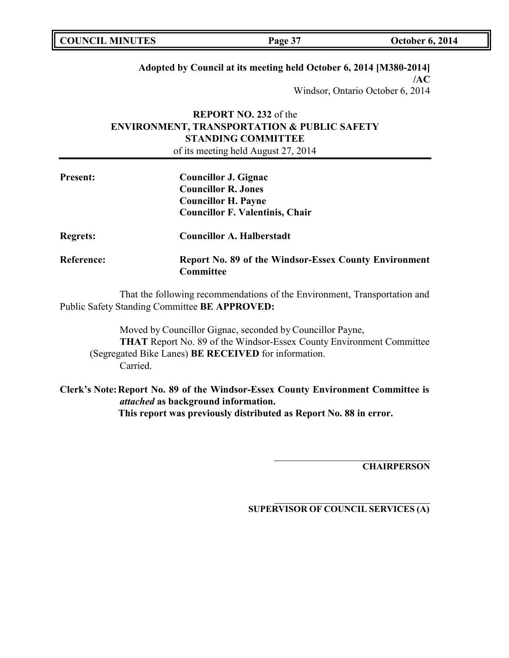| <b>COUNCIL MINUTES</b><br><b>October 6, 2014</b><br>Page 37 |
|-------------------------------------------------------------|
|-------------------------------------------------------------|

### **Adopted by Council at its meeting held October 6, 2014 [M380-2014]**

**/AC** Windsor, Ontario October 6, 2014

# **REPORT NO. 232** of the **ENVIRONMENT, TRANSPORTATION & PUBLIC SAFETY STANDING COMMITTEE**

of its meeting held August 27, 2014

| <b>Present:</b>   | <b>Councillor J. Gignac</b>                                               |
|-------------------|---------------------------------------------------------------------------|
|                   | <b>Councillor R. Jones</b>                                                |
|                   | <b>Councillor H. Payne</b>                                                |
|                   | <b>Councillor F. Valentinis, Chair</b>                                    |
| <b>Regrets:</b>   | <b>Councillor A. Halberstadt</b>                                          |
| <b>Reference:</b> | <b>Report No. 89 of the Windsor-Essex County Environment</b><br>Committee |

That the following recommendations of the Environment, Transportation and Public Safety Standing Committee **BE APPROVED:**

Moved by Councillor Gignac, seconded by Councillor Payne, **THAT** Report No. 89 of the Windsor-Essex County Environment Committee (Segregated Bike Lanes) **BE RECEIVED** for information. Carried.

**Clerk's Note:Report No. 89 of the Windsor-Essex County Environment Committee is** *attached* **as background information. This report was previously distributed as Report No. 88 in error.**

**CHAIRPERSON**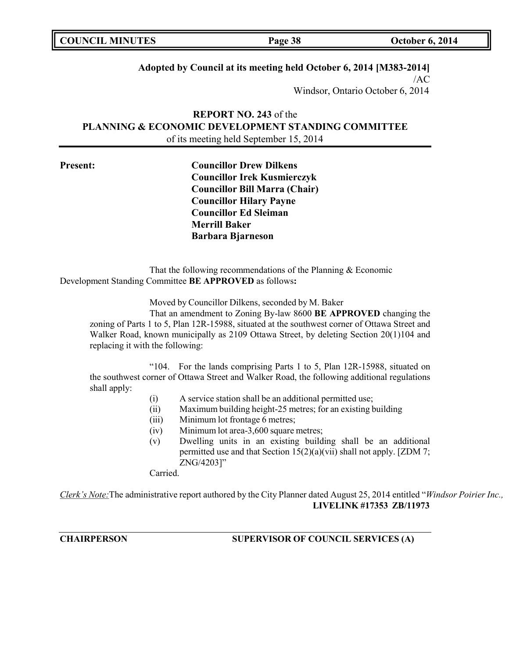| <b>COUNCIL MINUTES</b> | Page 38 | <b>October 6, 2014</b> |
|------------------------|---------|------------------------|
|                        |         |                        |

## **Adopted by Council at its meeting held October 6, 2014 [M383-2014]**

 $/AC$ Windsor, Ontario October 6, 2014

# **REPORT NO. 243** of the **PLANNING & ECONOMIC DEVELOPMENT STANDING COMMITTEE** of its meeting held September 15, 2014

**Present: Councillor Drew Dilkens Councillor Irek Kusmierczyk Councillor Bill Marra (Chair) Councillor Hilary Payne Councillor Ed Sleiman Merrill Baker Barbara Bjarneson**

That the following recommendations of the Planning & Economic Development Standing Committee **BE APPROVED** as follows**:**

Moved by Councillor Dilkens, seconded by M. Baker

That an amendment to Zoning By-law 8600 **BE APPROVED** changing the zoning of Parts 1 to 5, Plan 12R-15988, situated at the southwest corner of Ottawa Street and Walker Road, known municipally as 2109 Ottawa Street, by deleting Section 20(1)104 and replacing it with the following:

"104. For the lands comprising Parts 1 to 5, Plan 12R-15988, situated on the southwest corner of Ottawa Street and Walker Road, the following additional regulations shall apply:

- (i) A service station shall be an additional permitted use;
- (ii) Maximum building height-25 metres; for an existing building
- (iii) Minimum lot frontage 6 metres;
- (iv) Minimum lot area-3,600 square metres;
- (v) Dwelling units in an existing building shall be an additional permitted use and that Section  $15(2)(a)(vi)$  shall not apply. [ZDM 7; ZNG/4203]"

Carried.

*Clerk's Note:*The administrative report authored by the City Planner dated August 25, 2014 entitled "*Windsor Poirier Inc.,* **LIVELINK #17353 ZB/11973**

**CHAIRPERSON SUPERVISOR OF COUNCIL SERVICES (A)**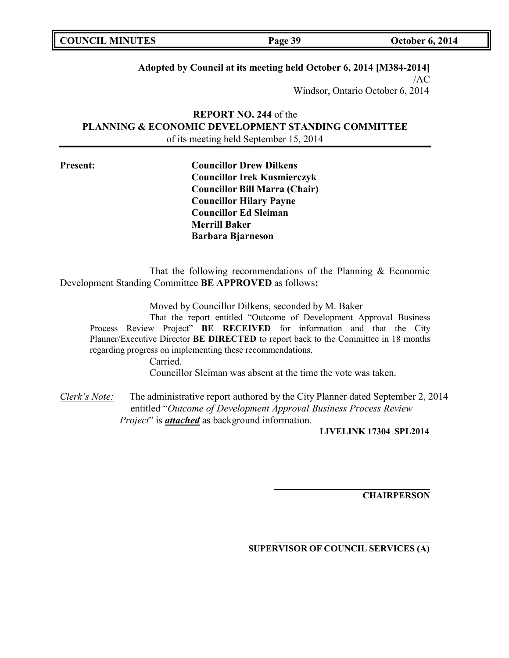| <b>COUNCIL MINUTES</b> | Page 39 | <b>October 6, 2014</b> |
|------------------------|---------|------------------------|
|                        |         |                        |

## **Adopted by Council at its meeting held October 6, 2014 [M384-2014]**

/AC Windsor, Ontario October 6, 2014

**REPORT NO. 244** of the **PLANNING & ECONOMIC DEVELOPMENT STANDING COMMITTEE** of its meeting held September 15, 2014

**Present: Councillor Drew Dilkens Councillor Irek Kusmierczyk Councillor Bill Marra (Chair) Councillor Hilary Payne Councillor Ed Sleiman Merrill Baker Barbara Bjarneson**

That the following recommendations of the Planning  $&$  Economic Development Standing Committee **BE APPROVED** as follows**:**

Moved by Councillor Dilkens, seconded by M. Baker

That the report entitled "Outcome of Development Approval Business Process Review Project" **BE RECEIVED** for information and that the City Planner/Executive Director **BE DIRECTED** to report back to the Committee in 18 months regarding progress on implementing these recommendations.

> Carried. Councillor Sleiman was absent at the time the vote was taken.

*Clerk's Note:* The administrative report authored by the City Planner dated September 2, 2014 entitled "*Outcome of Development Approval Business Process Review Project*" is *attached* as background information.

**LIVELINK 17304 SPL2014**

**CHAIRPERSON**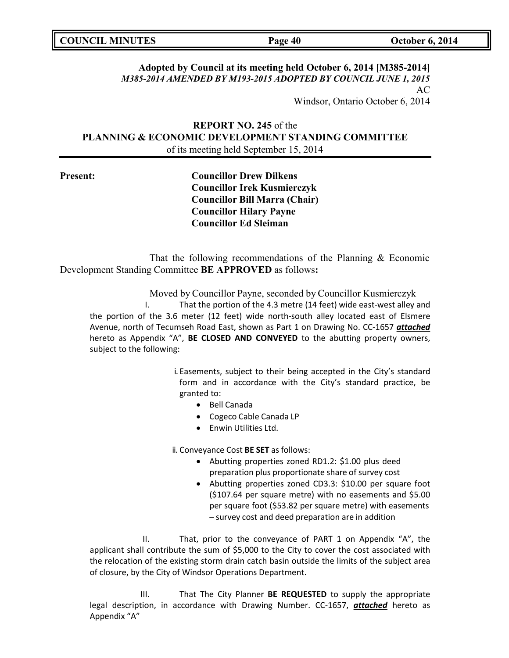| <b>COUNCIL MINUTES</b><br><b>October 6, 2014</b><br>Page 40 |
|-------------------------------------------------------------|
|-------------------------------------------------------------|

# **Adopted by Council at its meeting held October 6, 2014 [M385-2014]** *M385-2014 AMENDED BY M193-2015 ADOPTED BY COUNCIL JUNE 1, 2015* AC

Windsor, Ontario October 6, 2014

# **REPORT NO. 245** of the **PLANNING & ECONOMIC DEVELOPMENT STANDING COMMITTEE** of its meeting held September 15, 2014

**Present: Councillor Drew Dilkens Councillor Irek Kusmierczyk Councillor Bill Marra (Chair) Councillor Hilary Payne Councillor Ed Sleiman**

That the following recommendations of the Planning & Economic Development Standing Committee **BE APPROVED** as follows**:**

Moved by Councillor Payne, seconded by Councillor Kusmierczyk

I. That the portion of the 4.3 metre (14 feet) wide east-west alley and the portion of the 3.6 meter (12 feet) wide north-south alley located east of Elsmere Avenue, north of Tecumseh Road East, shown as Part 1 on Drawing No. CC-1657 *attached* hereto as Appendix "A", **BE CLOSED AND CONVEYED** to the abutting property owners, subject to the following:

> i. Easements, subject to their being accepted in the City's standard form and in accordance with the City's standard practice, be granted to:

- Bell Canada
- Cogeco Cable Canada LP
- Enwin Utilities Ltd.

ii. Conveyance Cost **BE SET** asfollows:

- Abutting properties zoned RD1.2: \$1.00 plus deed preparation plus proportionate share of survey cost
- Abutting properties zoned CD3.3: \$10.00 per square foot (\$107.64 per square metre) with no easements and \$5.00 per square foot (\$53.82 per square metre) with easements – survey cost and deed preparation are in addition

II. That, prior to the conveyance of PART 1 on Appendix "A", the applicant shall contribute the sum of \$5,000 to the City to cover the cost associated with the relocation of the existing storm drain catch basin outside the limits of the subject area of closure, by the City of Windsor Operations Department.

III. That The City Planner **BE REQUESTED** to supply the appropriate legal description, in accordance with Drawing Number. CC-1657, *attached* hereto as Appendix "A"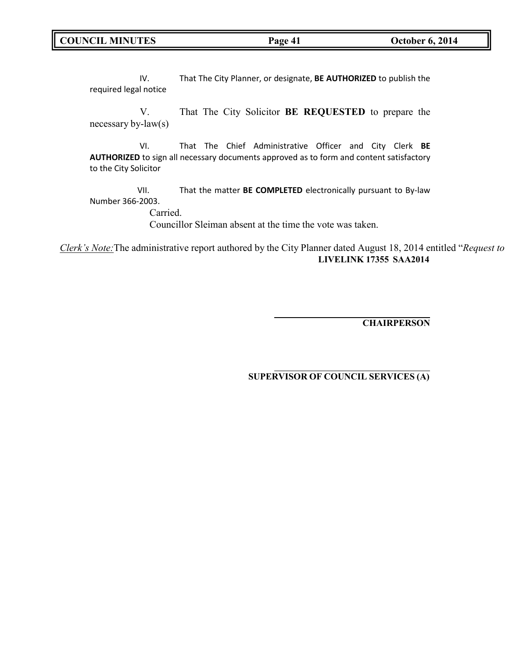**COUNCIL MINUTES Page 41 October 6, 2014**

IV. That The City Planner, or designate, **BE AUTHORIZED** to publish the required legal notice

V. That The City Solicitor **BE REQUESTED** to prepare the necessary by-law(s)

VI. That The Chief Administrative Officer and City Clerk **BE AUTHORIZED** to sign all necessary documents approved as to form and content satisfactory to the City Solicitor

VII. That the matter **BE COMPLETED** electronically pursuant to By-law Number 366-2003.

Carried.

Councillor Sleiman absent at the time the vote was taken.

*Clerk's Note:*The administrative report authored by the City Planner dated August 18, 2014 entitled "*Request to* **LIVELINK 17355 SAA2014**

**CHAIRPERSON**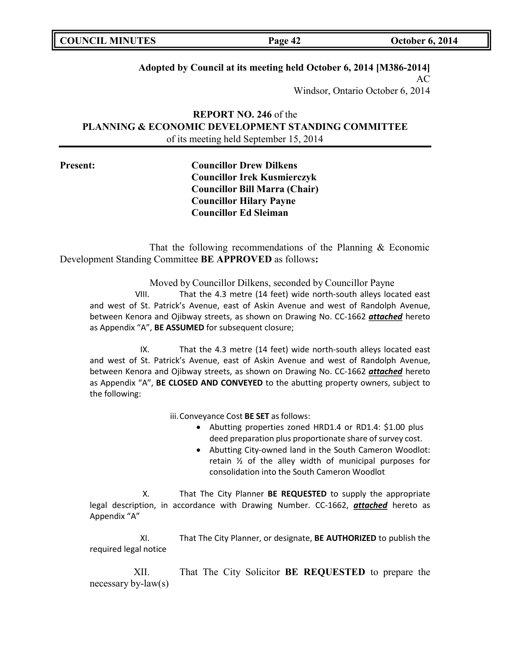| <b>COUNCIL MINUTES</b> | Page 42 | <b>October 6, 2014</b> |
|------------------------|---------|------------------------|
|                        |         |                        |

# **Adopted by Council at its meeting held October 6, 2014 [M386-2014]**

AC Windsor, Ontario October 6, 2014

**REPORT NO. 246** of the **PLANNING & ECONOMIC DEVELOPMENT STANDING COMMITTEE** of its meeting held September 15, 2014

**Present: Councillor Drew Dilkens Councillor Irek Kusmierczyk Councillor Bill Marra (Chair) Councillor Hilary Payne Councillor Ed Sleiman**

That the following recommendations of the Planning & Economic Development Standing Committee **BE APPROVED** as follows**:**

> Moved by Councillor Dilkens, seconded by Councillor Payne VIII. That the 4.3 metre (14 feet) wide north-south alleys located east

and west of St. Patrick's Avenue, east of Askin Avenue and west of Randolph Avenue, between Kenora and Ojibway streets, as shown on Drawing No. CC-1662 *attached* hereto as Appendix "A", **BE ASSUMED** for subsequent closure;

IX. That the 4.3 metre (14 feet) wide north-south alleys located east and west of St. Patrick's Avenue, east of Askin Avenue and west of Randolph Avenue, between Kenora and Ojibway streets, as shown on Drawing No. CC-1662 *attached* hereto as Appendix "A", **BE CLOSED AND CONVEYED** to the abutting property owners, subject to the following:

iii.Conveyance Cost **BE SET** asfollows:

- Abutting properties zoned HRD1.4 or RD1.4: \$1.00 plus deed preparation plus proportionate share of survey cost.
- Abutting City-owned land in the South Cameron Woodlot: retain ½ of the alley width of municipal purposes for consolidation into the South Cameron Woodlot

X. That The City Planner **BE REQUESTED** to supply the appropriate legal description, in accordance with Drawing Number. CC-1662, *attached* hereto as Appendix "A"

XI. That The City Planner, or designate, **BE AUTHORIZED** to publish the required legal notice

XII. That The City Solicitor **BE REQUESTED** to prepare the necessary by-law(s)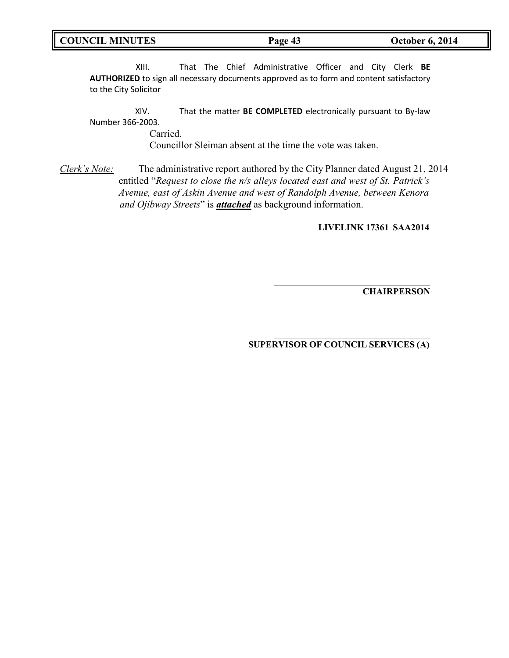XIII. That The Chief Administrative Officer and City Clerk **BE AUTHORIZED** to sign all necessary documents approved as to form and content satisfactory to the City Solicitor

XIV. That the matter **BE COMPLETED** electronically pursuant to By-law Number 366-2003.

Carried.

Councillor Sleiman absent at the time the vote was taken.

*Clerk's Note:* The administrative report authored by the City Planner dated August 21, 2014 entitled "*Request to close the n/s alleys located east and west of St. Patrick's Avenue, east of Askin Avenue and west of Randolph Avenue, between Kenora and Ojibway Streets*" is *attached* as background information.

**LIVELINK 17361 SAA2014**

**CHAIRPERSON**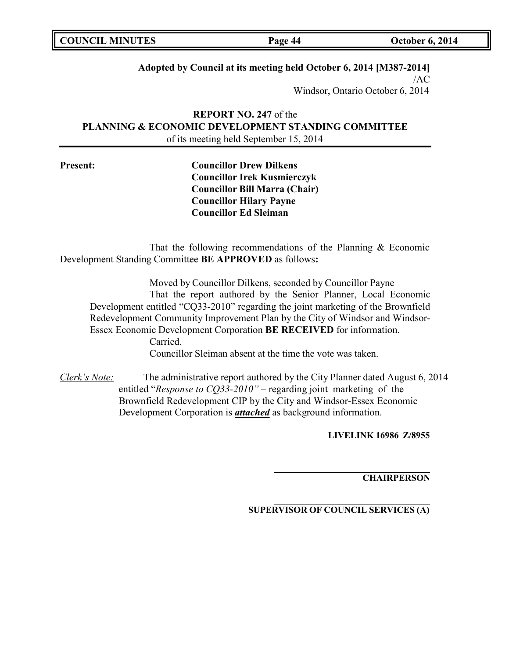| <b>COUNCIL MINUTES</b> | Page 44 | <b>October 6, 2014</b> |
|------------------------|---------|------------------------|
|                        |         |                        |

**Adopted by Council at its meeting held October 6, 2014 [M387-2014]**

 $/AC$ Windsor, Ontario October 6, 2014

**REPORT NO. 247** of the **PLANNING & ECONOMIC DEVELOPMENT STANDING COMMITTEE** of its meeting held September 15, 2014

**Present: Councillor Drew Dilkens Councillor Irek Kusmierczyk Councillor Bill Marra (Chair) Councillor Hilary Payne Councillor Ed Sleiman**

That the following recommendations of the Planning & Economic Development Standing Committee **BE APPROVED** as follows**:**

Moved by Councillor Dilkens, seconded by Councillor Payne That the report authored by the Senior Planner, Local Economic Development entitled "CQ33-2010" regarding the joint marketing of the Brownfield Redevelopment Community Improvement Plan by the City of Windsor and Windsor-Essex Economic Development Corporation **BE RECEIVED** for information. Carried.

Councillor Sleiman absent at the time the vote was taken.

*Clerk's Note:* The administrative report authored by the City Planner dated August 6, 2014 entitled "*Response to CQ33-2010"* – regarding joint marketing of the Brownfield Redevelopment CIP by the City and Windsor-Essex Economic Development Corporation is *attached* as background information.

**LIVELINK 16986 Z/8955**

**CHAIRPERSON**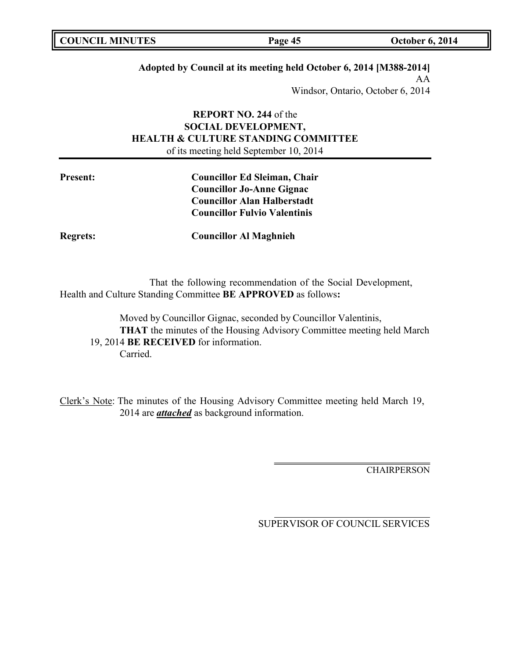| <b>COUNCIL MINUTES</b> | Page 45 | <b>October 6, 2014</b> |
|------------------------|---------|------------------------|
|                        |         |                        |

## **Adopted by Council at its meeting held October 6, 2014 [M388-2014]**

AA Windsor, Ontario, October 6, 2014

# **REPORT NO. 244** of the **SOCIAL DEVELOPMENT, HEALTH & CULTURE STANDING COMMITTEE** of its meeting held September 10, 2014

| <b>Present:</b> | <b>Councillor Ed Sleiman, Chair</b> |
|-----------------|-------------------------------------|
|                 | <b>Councillor Jo-Anne Gignac</b>    |
|                 | <b>Councillor Alan Halberstadt</b>  |
|                 | <b>Councillor Fulvio Valentinis</b> |
|                 |                                     |

**Regrets: Councillor Al Maghnieh**

That the following recommendation of the Social Development, Health and Culture Standing Committee **BE APPROVED** as follows**:**

Moved by Councillor Gignac, seconded by Councillor Valentinis, **THAT** the minutes of the Housing Advisory Committee meeting held March 19, 2014 **BE RECEIVED** for information. Carried.

Clerk's Note: The minutes of the Housing Advisory Committee meeting held March 19, 2014 are *attached* as background information.

**CHAIRPERSON**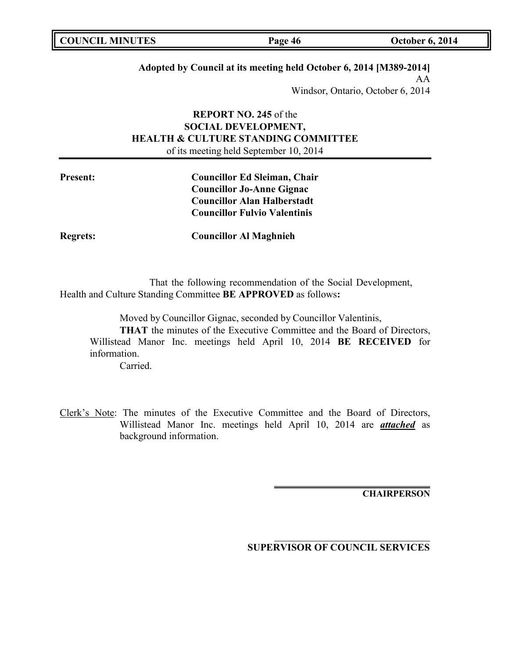| <b>COUNCIL MINUTES</b> | Page 46 | <b>October 6, 2014</b> |
|------------------------|---------|------------------------|
|                        |         |                        |

## **Adopted by Council at its meeting held October 6, 2014 [M389-2014]**

AA

Windsor, Ontario, October 6, 2014

# **REPORT NO. 245** of the **SOCIAL DEVELOPMENT, HEALTH & CULTURE STANDING COMMITTEE** of its meeting held September 10, 2014

| <b>Present:</b> | <b>Councillor Ed Sleiman, Chair</b> |
|-----------------|-------------------------------------|
|                 | <b>Councillor Jo-Anne Gignac</b>    |
|                 | <b>Councillor Alan Halberstadt</b>  |
|                 | <b>Councillor Fulvio Valentinis</b> |
|                 |                                     |

**Regrets: Councillor Al Maghnieh**

That the following recommendation of the Social Development, Health and Culture Standing Committee **BE APPROVED** as follows**:**

Moved by Councillor Gignac, seconded by Councillor Valentinis,

**THAT** the minutes of the Executive Committee and the Board of Directors, Willistead Manor Inc. meetings held April 10, 2014 **BE RECEIVED** for information.

Carried.

Clerk's Note: The minutes of the Executive Committee and the Board of Directors, Willistead Manor Inc. meetings held April 10, 2014 are *attached* as background information.

**CHAIRPERSON**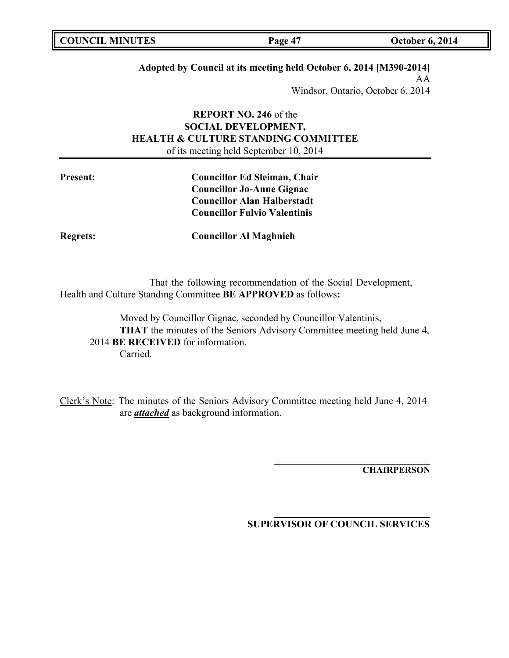| <b>COUNCIL MINUTES</b> | Page 47 | <b>October 6, 2014</b> |
|------------------------|---------|------------------------|
|                        |         |                        |

## **Adopted by Council at its meeting held October 6, 2014 [M390-2014]**

AA Windsor, Ontario, October 6, 2014

# **REPORT NO. 246** of the **SOCIAL DEVELOPMENT, HEALTH & CULTURE STANDING COMMITTEE** of its meeting held September 10, 2014

| <b>Present:</b> | <b>Councillor Ed Sleiman, Chair</b> |
|-----------------|-------------------------------------|
|                 | <b>Councillor Jo-Anne Gignac</b>    |
|                 | <b>Councillor Alan Halberstadt</b>  |
|                 | <b>Councillor Fulvio Valentinis</b> |
|                 |                                     |

**Regrets: Councillor Al Maghnieh**

That the following recommendation of the Social Development, Health and Culture Standing Committee **BE APPROVED** as follows**:**

Moved by Councillor Gignac, seconded by Councillor Valentinis, **THAT** the minutes of the Seniors Advisory Committee meeting held June 4, 2014 **BE RECEIVED** for information. Carried.

Clerk's Note: The minutes of the Seniors Advisory Committee meeting held June 4, 2014 are *attached* as background information.

**CHAIRPERSON**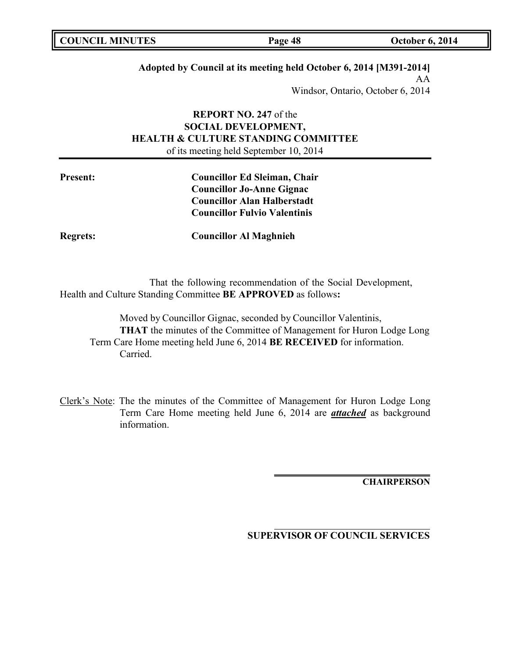| <b>COUNCIL MINUTES</b> | Page 48 | <b>October 6, 2014</b> |
|------------------------|---------|------------------------|
|                        |         |                        |

## **Adopted by Council at its meeting held October 6, 2014 [M391-2014]**

AA Windsor, Ontario, October 6, 2014

# **REPORT NO. 247** of the **SOCIAL DEVELOPMENT, HEALTH & CULTURE STANDING COMMITTEE** of its meeting held September 10, 2014

**Present: Councillor Ed Sleiman, Chair Councillor Jo-Anne Gignac Councillor Alan Halberstadt Councillor Fulvio Valentinis**

**Regrets: Councillor Al Maghnieh**

That the following recommendation of the Social Development, Health and Culture Standing Committee **BE APPROVED** as follows**:**

Moved by Councillor Gignac, seconded by Councillor Valentinis, **THAT** the minutes of the Committee of Management for Huron Lodge Long Term Care Home meeting held June 6, 2014 **BE RECEIVED** for information. Carried.

Clerk's Note: The the minutes of the Committee of Management for Huron Lodge Long Term Care Home meeting held June 6, 2014 are *attached* as background information.

**CHAIRPERSON**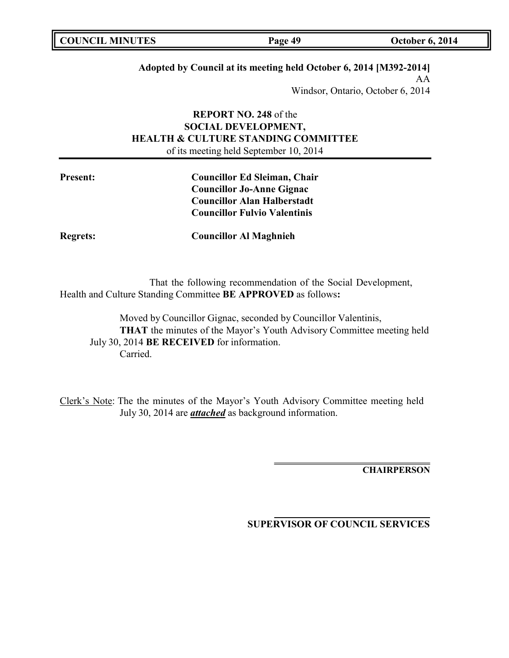| <b>COUNCIL MINUTES</b> | Page 49 | <b>October 6, 2014</b> |
|------------------------|---------|------------------------|
|                        |         |                        |

## **Adopted by Council at its meeting held October 6, 2014 [M392-2014]**

AA Windsor, Ontario, October 6, 2014

# **REPORT NO. 248** of the **SOCIAL DEVELOPMENT, HEALTH & CULTURE STANDING COMMITTEE** of its meeting held September 10, 2014

| <b>Present:</b> | <b>Councillor Ed Sleiman, Chair</b> |
|-----------------|-------------------------------------|
|                 | <b>Councillor Jo-Anne Gignac</b>    |
|                 | <b>Councillor Alan Halberstadt</b>  |
|                 | <b>Councillor Fulvio Valentinis</b> |
|                 |                                     |

**Regrets: Councillor Al Maghnieh**

That the following recommendation of the Social Development, Health and Culture Standing Committee **BE APPROVED** as follows**:**

Moved by Councillor Gignac, seconded by Councillor Valentinis, **THAT** the minutes of the Mayor's Youth Advisory Committee meeting held July 30, 2014 **BE RECEIVED** for information. Carried.

Clerk's Note: The the minutes of the Mayor's Youth Advisory Committee meeting held July 30, 2014 are *attached* as background information.

**CHAIRPERSON**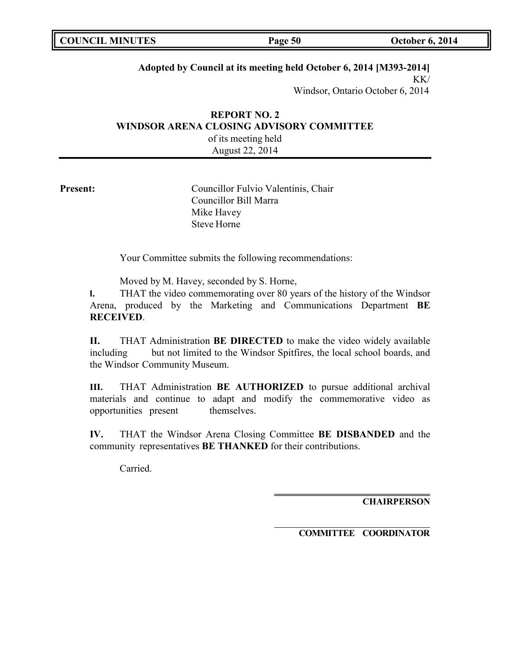| <b>COUNCIL MINUTES</b> | Page 50 | <b>October 6, 2014</b> |
|------------------------|---------|------------------------|
|                        |         |                        |

## **Adopted by Council at its meeting held October 6, 2014 [M393-2014]**

 $KK/$ Windsor, Ontario October 6, 2014

# **REPORT NO. 2 WINDSOR ARENA CLOSING ADVISORY COMMITTEE** of its meeting held

August 22, 2014

**Present:** Councillor Fulvio Valentinis, Chair Councillor Bill Marra Mike Havey Steve Horne

Your Committee submits the following recommendations:

Moved by M. Havey, seconded by S. Horne,

**I.** THAT the video commemorating over 80 years of the history of the Windsor Arena, produced by the Marketing and Communications Department **BE RECEIVED**.

**II.** THAT Administration **BE DIRECTED** to make the video widely available including but not limited to the Windsor Spitfires, the local school boards, and the Windsor Community Museum.

**III.** THAT Administration **BE AUTHORIZED** to pursue additional archival materials and continue to adapt and modify the commemorative video as opportunities present themselves.

**IV.** THAT the Windsor Arena Closing Committee **BE DISBANDED** and the community representatives **BE THANKED** for their contributions.

Carried.

**CHAIRPERSON**

**COMMITTEE COORDINATOR**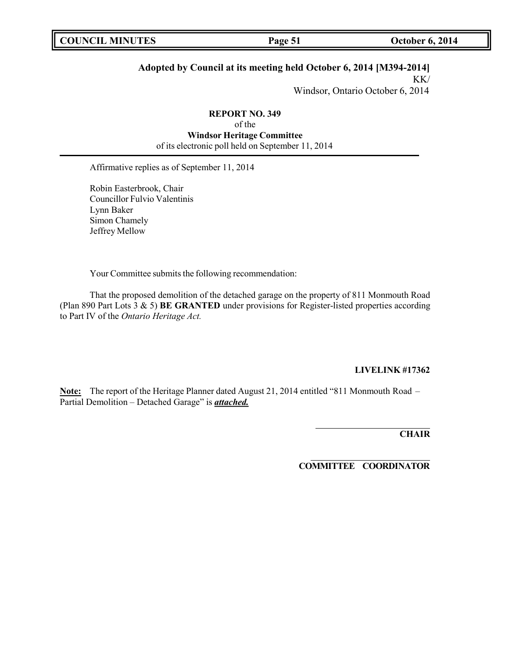# **Adopted by Council at its meeting held October 6, 2014 [M394-2014]**

KK/ Windsor, Ontario October 6, 2014

**REPORT NO. 349** of the **Windsor Heritage Committee** of its electronic poll held on September 11, 2014

Affirmative replies as of September 11, 2014

Robin Easterbrook, Chair Councillor Fulvio Valentinis Lynn Baker Simon Chamely Jeffrey Mellow

Your Committee submits the following recommendation:

That the proposed demolition of the detached garage on the property of 811 Monmouth Road (Plan 890 Part Lots 3 & 5) **BE GRANTED** under provisions for Register-listed properties according to Part IV of the *Ontario Heritage Act.*

#### **LIVELINK #17362**

**Note:** The report of the Heritage Planner dated August 21, 2014 entitled "811 Monmouth Road – Partial Demolition – Detached Garage" is *attached.*

**CHAIR**

**COMMITTEE COORDINATOR**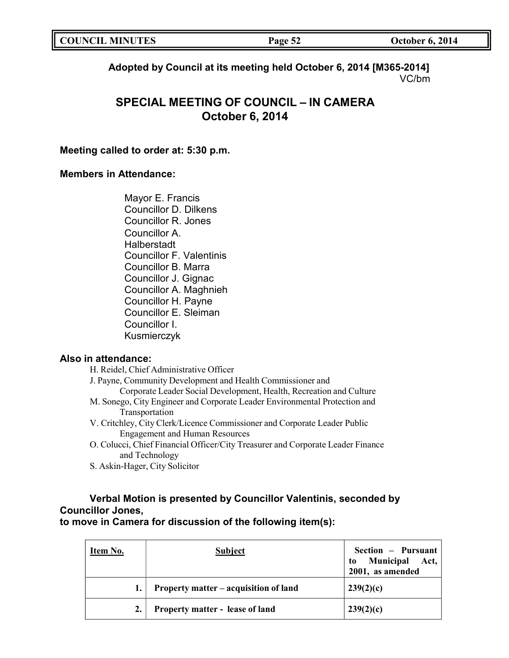| <b>COUNCIL MINUTES</b> | Page 52 | <b>October 6, 2014</b> |
|------------------------|---------|------------------------|
|                        |         |                        |

**Adopted by Council at its meeting held October 6, 2014 [M365-2014]** VC/bm

# **SPECIAL MEETING OF COUNCIL – IN CAMERA October 6, 2014**

# **Meeting called to order at: 5:30 p.m.**

## **Members in Attendance:**

Mayor E. Francis Councillor D. Dilkens Councillor R. Jones Councillor A. Halberstadt Councillor F. Valentinis Councillor B. Marra Councillor J. Gignac Councillor A. Maghnieh Councillor H. Payne Councillor E. Sleiman Councillor I. Kusmierczyk

# **Also in attendance:**

| H. Reidel, Chief Administrative Officer                                         |
|---------------------------------------------------------------------------------|
| J. Payne, Community Development and Health Commissioner and                     |
| Corporate Leader Social Development, Health, Recreation and Culture             |
| M. Sonego, City Engineer and Corporate Leader Environmental Protection and      |
| Transportation                                                                  |
| V. Critchley, City Clerk/Licence Commissioner and Corporate Leader Public       |
| <b>Engagement and Human Resources</b>                                           |
| O. Colucci, Chief Financial Officer/City Treasurer and Corporate Leader Finance |

- O. Colucci, Chief Financial Officer/City Treasurer and Corporate Leader Finance and Technology
- S. Askin-Hager, City Solicitor

# **Verbal Motion is presented by Councillor Valentinis, seconded by Councillor Jones,**

**to move in Camera for discussion of the following item(s):**

| Item No. | <b>Subject</b>                         | Section - Pursuant<br>Municipal Act,<br>to<br>2001, as amended |
|----------|----------------------------------------|----------------------------------------------------------------|
|          | Property matter – acquisition of land  | 239(2)(c)                                                      |
| 2.       | <b>Property matter - lease of land</b> | 239(2)(c)                                                      |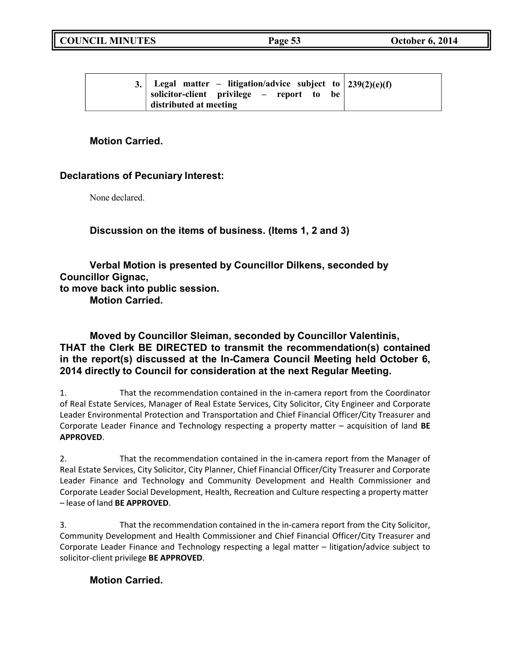|  | 3. Legal matter – litigation/advice subject to $239(2)(e)(f)$<br>solicitor-client privilege – report to<br>be<br>distributed at meeting |
|--|-----------------------------------------------------------------------------------------------------------------------------------------|
|--|-----------------------------------------------------------------------------------------------------------------------------------------|

# **Motion Carried.**

# **Declarations of Pecuniary Interest:**

None declared.

**Discussion on the items of business. (Items 1, 2 and 3)**

**Verbal Motion is presented by Councillor Dilkens, seconded by Councillor Gignac, to move back into public session. Motion Carried.**

# **Moved by Councillor Sleiman, seconded by Councillor Valentinis, THAT the Clerk BE DIRECTED to transmit the recommendation(s) contained in the report(s) discussed at the In-Camera Council Meeting held October 6, 2014 directly to Council for consideration at the next Regular Meeting.**

1. That the recommendation contained in the in-camera report from the Coordinator of Real Estate Services, Manager of Real Estate Services, City Solicitor, City Engineer and Corporate Leader Environmental Protection and Transportation and Chief Financial Officer/City Treasurer and Corporate Leader Finance and Technology respecting a property matter – acquisition of land **BE APPROVED**.

2. That the recommendation contained in the in-camera report from the Manager of Real Estate Services, City Solicitor, City Planner, Chief Financial Officer/City Treasurer and Corporate Leader Finance and Technology and Community Development and Health Commissioner and Corporate Leader Social Development, Health, Recreation and Culture respecting a property matter – lease of land **BE APPROVED**.

3. That the recommendation contained in the in-camera report from the City Solicitor, Community Development and Health Commissioner and Chief Financial Officer/City Treasurer and Corporate Leader Finance and Technology respecting a legal matter – litigation/advice subject to solicitor-client privilege **BE APPROVED**.

# **Motion Carried.**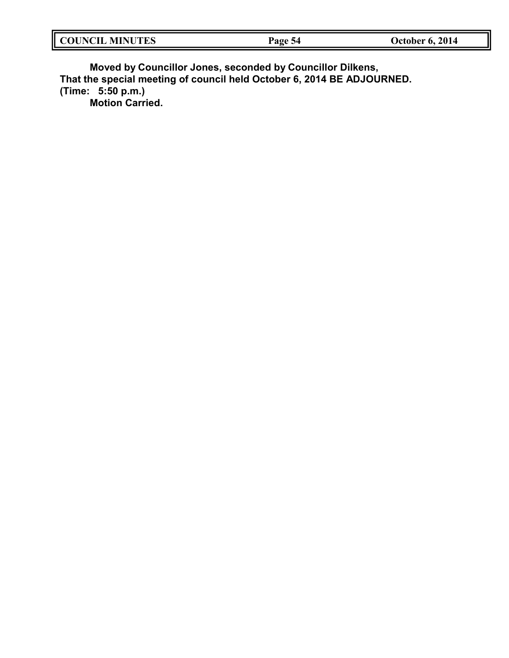| II<br><b>MINHTES</b><br>'NU.<br>THNO<br>LU N | rage<br>-42 | 2014<br>October 6, |
|----------------------------------------------|-------------|--------------------|
|                                              |             |                    |

**Moved by Councillor Jones, seconded by Councillor Dilkens, That the special meeting of council held October 6, 2014 BE ADJOURNED. (Time: 5:50 p.m.) Motion Carried.**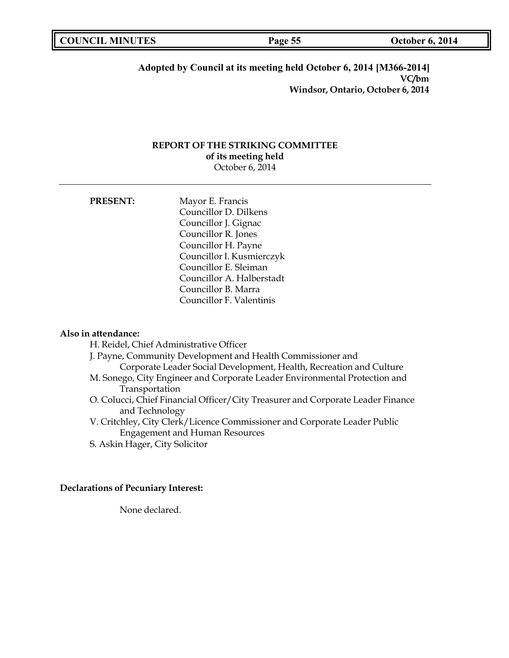| <b>SECOUNCIL MINUTES</b> | Page 55 | <b>October 6, 2014</b> |
|--------------------------|---------|------------------------|
|                          |         |                        |

### **Adopted by Council at its meeting held October 6, 2014 [M366-2014] VC/bm Windsor, Ontario, October 6, 2014**

### **REPORT OF THE STRIKING COMMITTEE of its meeting held** October 6, 2014

| <b>PRESENT:</b> | Mayor E. Francis          |
|-----------------|---------------------------|
|                 | Councillor D. Dilkens     |
|                 | Councillor J. Gignac      |
|                 | Councillor R. Jones       |
|                 | Councillor H. Payne       |
|                 | Councillor I. Kusmierczyk |
|                 | Councillor E. Sleiman     |
|                 | Councillor A. Halberstadt |
|                 | Councillor B. Marra       |
|                 | Councillor F. Valentinis  |

#### **Also in attendance:**

H. Reidel, Chief Administrative Officer

- J. Payne, Community Development and Health Commissioner and Corporate Leader Social Development, Health, Recreation and Culture M. Sonego, City Engineer and Corporate Leader Environmental Protection and
- Transportation
- O. Colucci, Chief Financial Officer/City Treasurer and Corporate Leader Finance and Technology
- V. Critchley, City Clerk/Licence Commissioner and Corporate Leader Public Engagement and Human Resources
- S. Askin Hager, City Solicitor

## **Declarations of Pecuniary Interest:**

None declared.